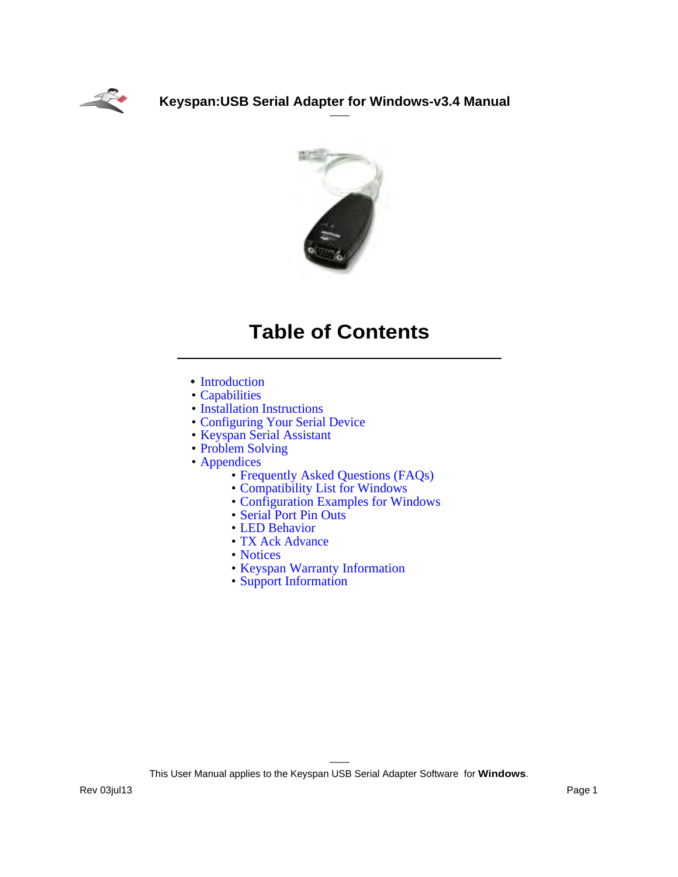



# **Table of Contents**

- [Introduction](#page-1-0)
- [Capabilities](#page-2-0)
- [Installation Instructions](#page-3-0)
- [Configuring Your Serial Device](#page-5-0)
- [Keyspan Serial Assistant](#page-8-0)
- [Problem Solving](#page-19-0)
- [Appendices](#page-21-0)
	- [Frequently Asked Questions \(FAQs\)](#page-22-0)
	- [Compatibility List for Windows](#page-23-0)
	- [Configuration Examples for Windows](#page-25-0)
	- [Serial Port Pin Outs](#page-29-0)
	- [LED Behavior](#page-30-0)
	- [TX Ack Advance](#page-31-0)
	- [Notices](#page-33-0)
	- [Keyspan Warranty Information](#page-36-0)
	- [Support Information](#page-39-0)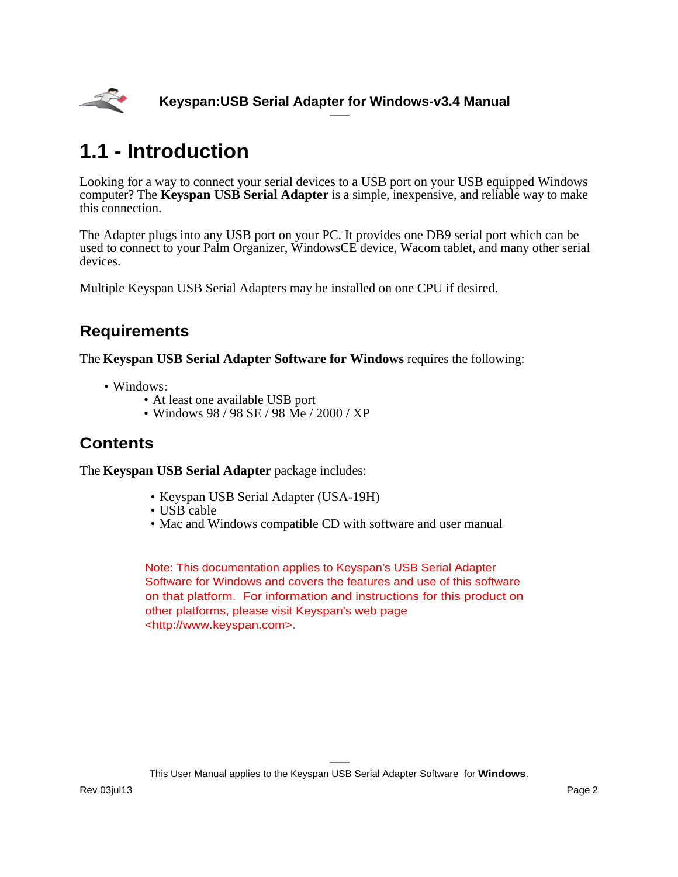<span id="page-1-0"></span>

# **1.1 - Introduction**

Looking for a way to connect your serial devices to a USB port on your USB equipped Windows computer? The **Keyspan USB Serial Adapter** is a simple, inexpensive, and reliable way to make this connection.

The Adapter plugs into any USB port on your PC. It provides one DB9 serial port which can be used to connect to your Palm Organizer, WindowsCE device, Wacom tablet, and many other serial devices.

Multiple Keyspan USB Serial Adapters may be installed on one CPU if desired.

## **Requirements**

The **Keyspan USB Serial Adapter Software for Windows** requires the following:

- Windows:
	- At least one available USB port
	- Windows 98 / 98 SE / 98 Me / 2000 / XP

## **Contents**

The **Keyspan USB Serial Adapter** package includes:

- Keyspan USB Serial Adapter (USA-19H)
- USB cable
- Mac and Windows compatible CD with software and user manual

Note: This documentation applies to Keyspan's USB Serial Adapter Software for Windows and covers the features and use of this software on that platform. For information and instructions for this product on other platforms, please visit Keyspan's web page [<http://www.keyspan.com>.](http://www.keyspan.com)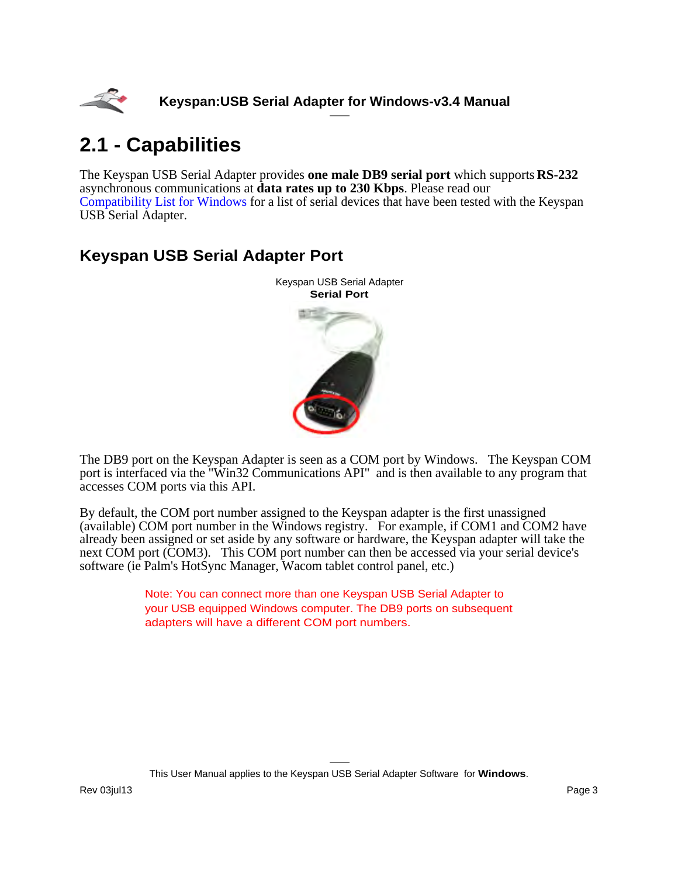<span id="page-2-0"></span>

# **2.1 - Capabilities**

The Keyspan USB Serial Adapter provides **one male DB9 serial port** which supports **RS-232** asynchronous communications at **data rates up to 230 Kbps**. Please read our [Compatibility List for Windows](#page-23-0) for a list of serial devices that have been tested with the Keyspan USB Serial Adapter.

## **Keyspan USB Serial Adapter Port**



The DB9 port on the Keyspan Adapter is seen as a COM port by Windows. The Keyspan COM port is interfaced via the "Win32 Communications API" and is then available to any program that accesses COM ports via this API.

By default, the COM port number assigned to the Keyspan adapter is the first unassigned (available) COM port number in the Windows registry. For example, if COM1 and COM2 have already been assigned or set aside by any software or hardware, the Keyspan adapter will take the next COM port (COM3). This COM port number can then be accessed via your serial device's software (ie Palm's HotSync Manager, Wacom tablet control panel, etc.)

> Note: You can connect more than one Keyspan USB Serial Adapter to your USB equipped Windows computer. The DB9 ports on subsequent adapters will have a different COM port numbers.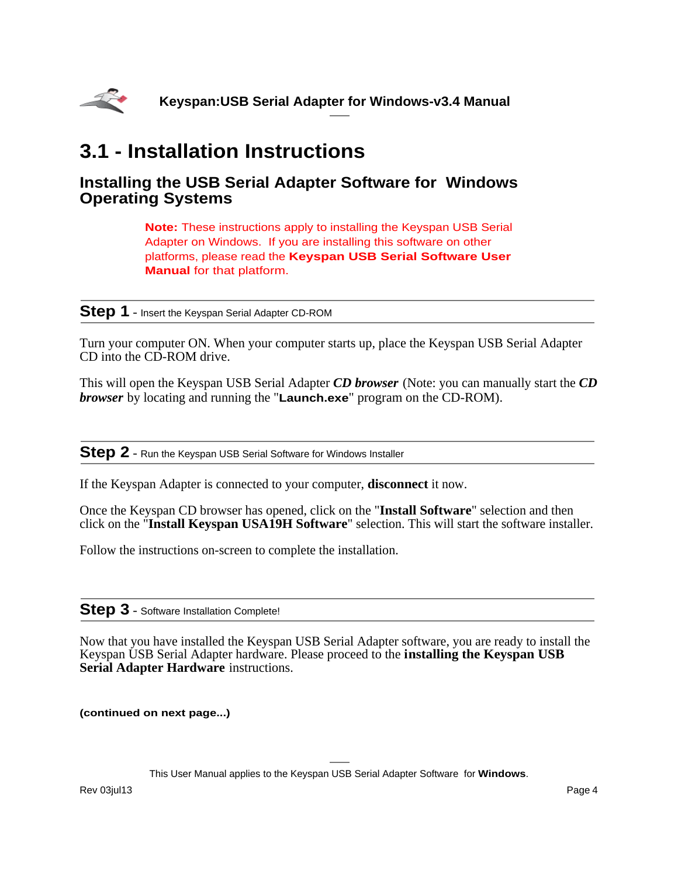<span id="page-3-0"></span>

# **3.1 - Installation Instructions**

### **Installing the USB Serial Adapter Software for Windows Operating Systems**

**Note:** These instructions apply to installing the Keyspan USB Serial Adapter on Windows. If you are installing this software on other platforms, please read the **Keyspan USB Serial Software User Manual** for that platform.

**Step 1** - Insert the Keyspan Serial Adapter CD-ROM

Turn your computer ON. When your computer starts up, place the Keyspan USB Serial Adapter CD into the CD-ROM drive.

This will open the Keyspan USB Serial Adapter *CD browser* (Note: you can manually start the *CD browser* by locating and running the "**Launch.exe**" program on the CD-ROM).

**Step 2** - Run the Keyspan USB Serial Software for Windows Installer

If the Keyspan Adapter is connected to your computer, **disconnect** it now.

Once the Keyspan CD browser has opened, click on the "**Install Software**" selection and then click on the "**Install Keyspan USA19H Software**" selection. This will start the software installer.

Follow the instructions on-screen to complete the installation.

### **Step 3** - Software Installation Complete!

Now that you have installed the Keyspan USB Serial Adapter software, you are ready to install the Keyspan USB Serial Adapter hardware. Please proceed to the **installing the Keyspan USB Serial Adapter Hardware** instructions.

**(continued on next page...)**

This User Manual applies to the Keyspan USB Serial Adapter Software for **Windows**.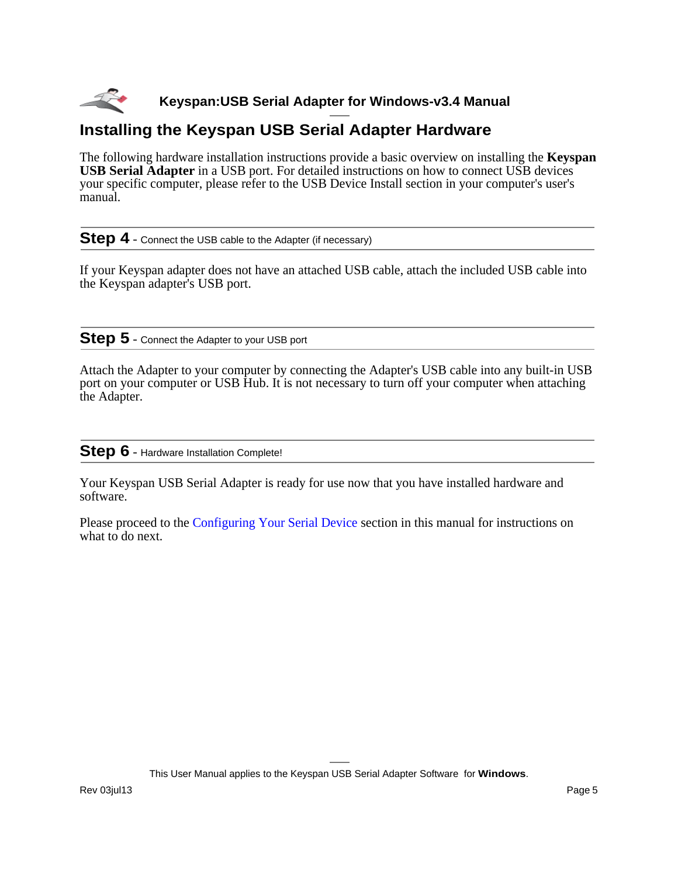

## **Installing the Keyspan USB Serial Adapter Hardware**

The following hardware installation instructions provide a basic overview on installing the **Keyspan USB Serial Adapter** in a USB port. For detailed instructions on how to connect USB devices your specific computer, please refer to the USB Device Install section in your computer's user's manual.

**Step 4** - Connect the USB cable to the Adapter (if necessary)

If your Keyspan adapter does not have an attached USB cable, attach the included USB cable into the Keyspan adapter's USB port.

### **Step 5** - Connect the Adapter to your USB port

Attach the Adapter to your computer by connecting the Adapter's USB cable into any built-in USB port on your computer or USB Hub. It is not necessary to turn off your computer when attaching the Adapter.

### **Step 6** - Hardware Installation Complete!

Your Keyspan USB Serial Adapter is ready for use now that you have installed hardware and software.

Please proceed to the [Configuring Your Serial Device](#page-5-0) section in this manual for instructions on what to do next.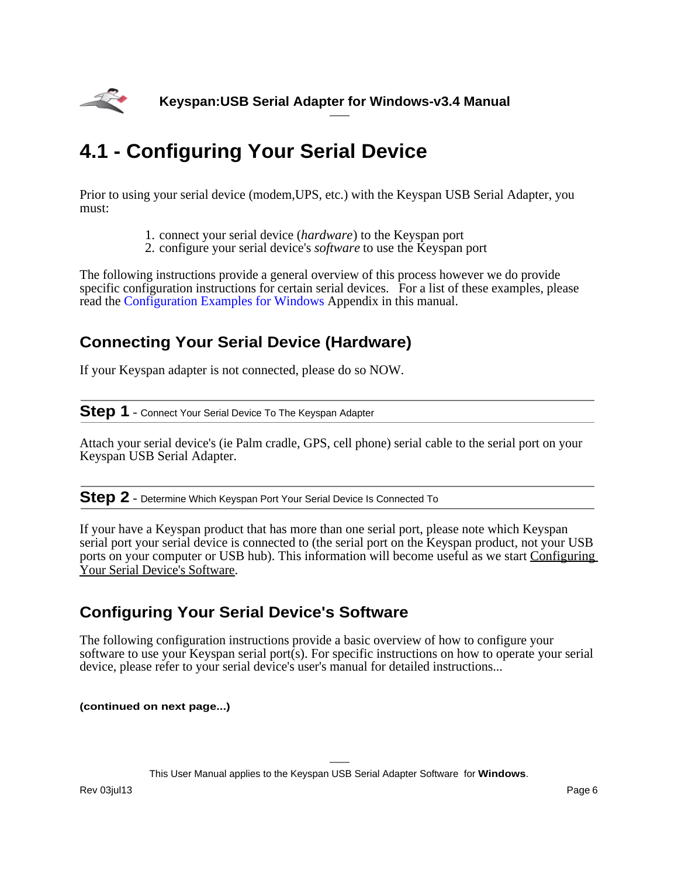<span id="page-5-0"></span>

# **4.1 - Configuring Your Serial Device**

Prior to using your serial device (modem,UPS, etc.) with the Keyspan USB Serial Adapter, you must:

- 1. connect your serial device (*hardware*) to the Keyspan port
- 2. configure your serial device's *software* to use the Keyspan port

The following instructions provide a general overview of this process however we do provide specific configuration instructions for certain serial devices. For a list of these examples, please read the [Configuration Examples for Windows](#page-25-0) Appendix in this manual.

## **Connecting Your Serial Device (Hardware)**

If your Keyspan adapter is not connected, please do so NOW.

### **Step 1** - Connect Your Serial Device To The Keyspan Adapter

Attach your serial device's (ie Palm cradle, GPS, cell phone) serial cable to the serial port on your Keyspan USB Serial Adapter.

**Step 2** - Determine Which Keyspan Port Your Serial Device Is Connected To

If your have a Keyspan product that has more than one serial port, please note which Keyspan serial port your serial device is connected to (the serial port on the Keyspan product, not your USB ports on your computer or USB hub). This information will become useful as we start Configuring Your Serial Device's Software.

## **Configuring Your Serial Device's Software**

The following configuration instructions provide a basic overview of how to configure your software to use your Keyspan serial port(s). For specific instructions on how to operate your serial device, please refer to your serial device's user's manual for detailed instructions...

**(continued on next page...)**

This User Manual applies to the Keyspan USB Serial Adapter Software for **Windows**.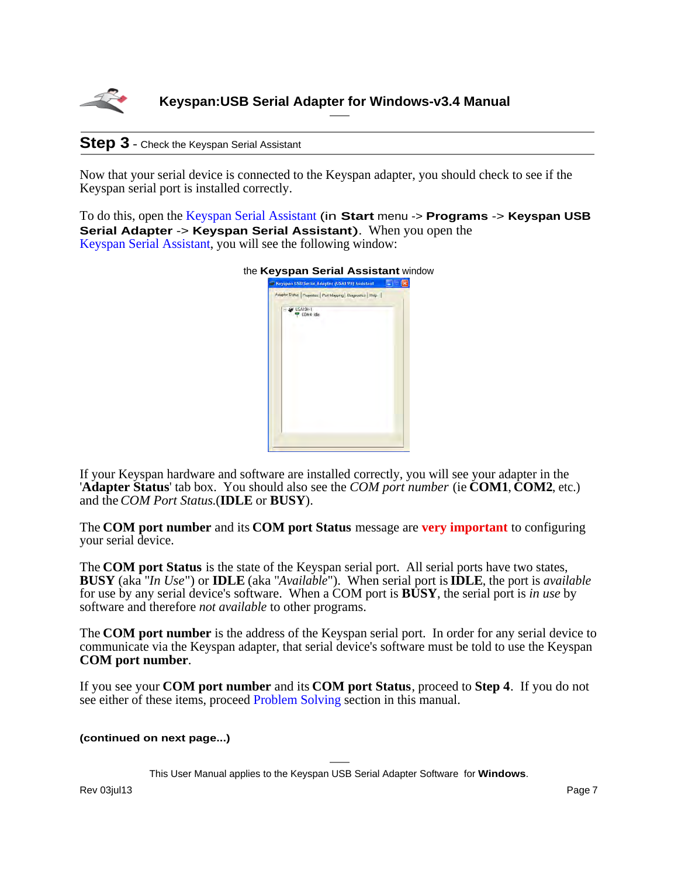

### **Step 3** - Check the Keyspan Serial Assistant

Now that your serial device is connected to the Keyspan adapter, you should check to see if the Keyspan serial port is installed correctly.

To do this, open the [Keyspan Serial Assistant](#page-8-0) (in **Start** menu -> **Programs** -> **Keyspan USB Serial Adapter** -> **Keyspan Serial Assistant**). When you open the [Keyspan Serial Assistant](#page-8-0), you will see the following window:

|                      | Keyspan USB Serial Adapter (USA19H) Assistant                   |  |
|----------------------|-----------------------------------------------------------------|--|
|                      | Adapter Status   Properties   Port Magging   Diagnostics   Help |  |
| USA19H-1<br>COM4 ide |                                                                 |  |
|                      |                                                                 |  |
|                      |                                                                 |  |
|                      |                                                                 |  |
|                      |                                                                 |  |
|                      |                                                                 |  |

If your Keyspan hardware and software are installed correctly, you will see your adapter in the '**Adapter Status**' tab box. You should also see the *COM port number* (ie **COM1**, **COM2**, etc.) and the *COM Port Status*.(**IDLE** or **BUSY**).

The **COM port number** and its **COM port Status** message are **very important** to configuring your serial device.

The **COM port Status** is the state of the Keyspan serial port. All serial ports have two states, **BUSY** (aka "*In Use*") or **IDLE** (aka "*Available*"). When serial port is **IDLE**, the port is *available* for use by any serial device's software. When a COM port is **BUSY**, the serial port is *in use* by software and therefore *not available* to other programs.

The **COM port number** is the address of the Keyspan serial port. In order for any serial device to communicate via the Keyspan adapter, that serial device's software must be told to use the Keyspan **COM port number**.

If you see your **COM port number** and its **COM port Status**, proceed to **Step 4**. If you do not see either of these items, proceed [Problem Solving](#page-19-0) section in this manual.

#### **(continued on next page...)**

This User Manual applies to the Keyspan USB Serial Adapter Software for **Windows**.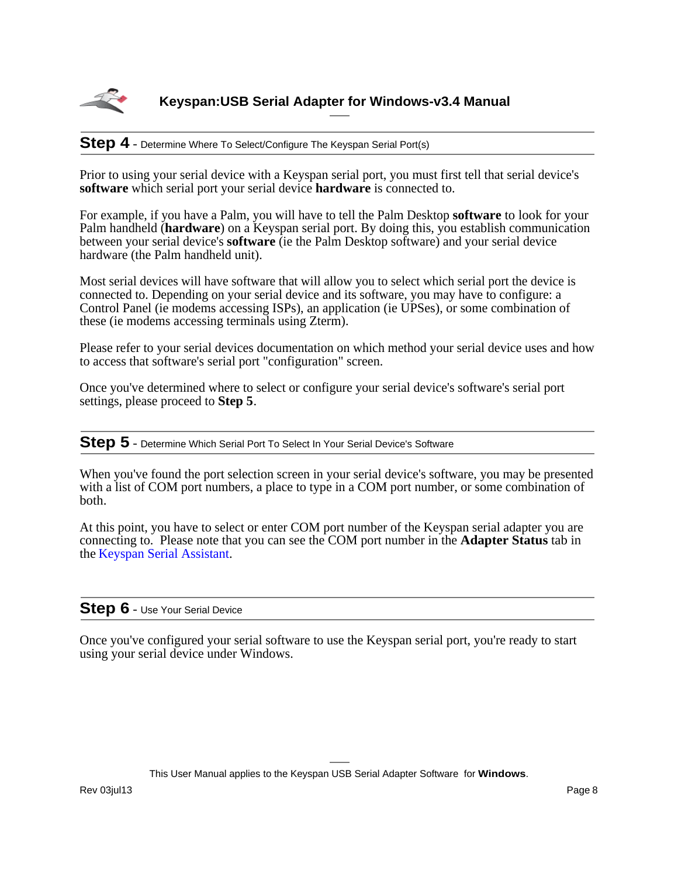

### **Step 4** - Determine Where To Select/Configure The Keyspan Serial Port(s)

Prior to using your serial device with a Keyspan serial port, you must first tell that serial device's **software** which serial port your serial device **hardware** is connected to.

For example, if you have a Palm, you will have to tell the Palm Desktop **software** to look for your Palm handheld (**hardware**) on a Keyspan serial port. By doing this, you establish communication between your serial device's **software** (ie the Palm Desktop software) and your serial device hardware (the Palm handheld unit).

Most serial devices will have software that will allow you to select which serial port the device is connected to. Depending on your serial device and its software, you may have to configure: a Control Panel (ie modems accessing ISPs), an application (ie UPSes), or some combination of these (ie modems accessing terminals using Zterm).

Please refer to your serial devices documentation on which method your serial device uses and how to access that software's serial port "configuration" screen.

Once you've determined where to select or configure your serial device's software's serial port settings, please proceed to **Step 5**.

**Step 5** - Determine Which Serial Port To Select In Your Serial Device's Software

When you've found the port selection screen in your serial device's software, you may be presented with a list of COM port numbers, a place to type in a COM port number, or some combination of both.

At this point, you have to select or enter COM port number of the Keyspan serial adapter you are connecting to. Please note that you can see the COM port number in the **Adapter Status** tab in the [Keyspan Serial Assistant](#page-8-0).

### **Step 6** - Use Your Serial Device

Once you've configured your serial software to use the Keyspan serial port, you're ready to start using your serial device under Windows.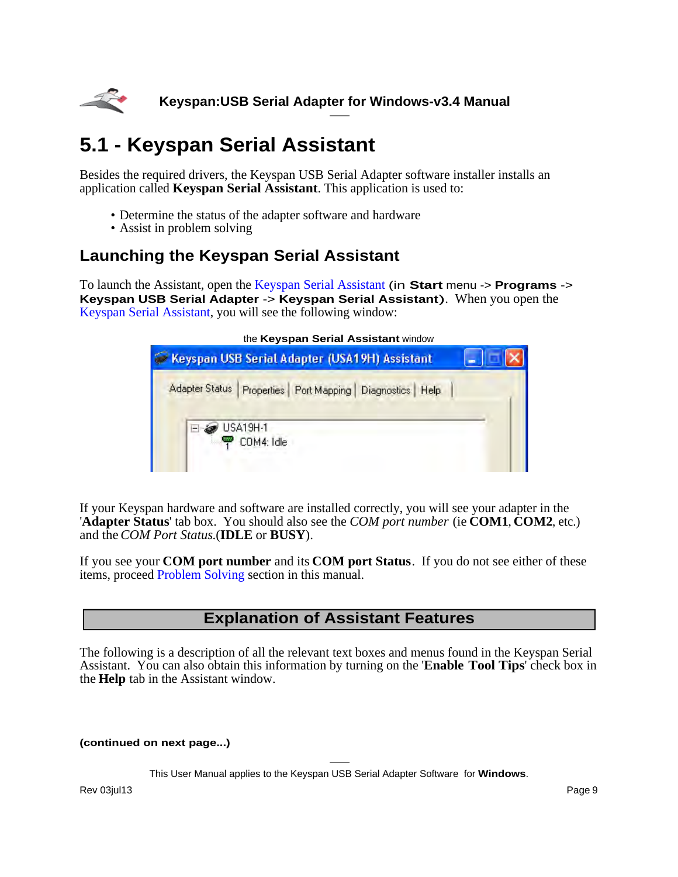<span id="page-8-0"></span>

# **5.1 - Keyspan Serial Assistant**

Besides the required drivers, the Keyspan USB Serial Adapter software installer installs an application called **Keyspan Serial Assistant**. This application is used to:

- Determine the status of the adapter software and hardware
- Assist in problem solving

## **Launching the Keyspan Serial Assistant**

To launch the Assistant, open the Keyspan Serial Assistant (in **Start** menu -> **Programs** -> **Keyspan USB Serial Adapter** -> **Keyspan Serial Assistant**). When you open the Keyspan Serial Assistant, you will see the following window:

| the Keyspan Serial Assistant window                                                       |  |  |  |  |
|-------------------------------------------------------------------------------------------|--|--|--|--|
| Keyspan USB Serial Adapter (USA19H) Assistant                                             |  |  |  |  |
| Adapter Status   Properties   Port Mapping   Diagnostics   Help<br>USA19H-1<br>COM4: Idle |  |  |  |  |

If your Keyspan hardware and software are installed correctly, you will see your adapter in the '**Adapter Status**' tab box. You should also see the *COM port number* (ie **COM1**, **COM2**, etc.) and the *COM Port Status*.(**IDLE** or **BUSY**).

If you see your **COM port number** and its **COM port Status**. If you do not see either of these items, proceed [Problem Solving](#page-19-0) section in this manual.

## **Explanation of Assistant Features**

The following is a description of all the relevant text boxes and menus found in the Keyspan Serial Assistant. You can also obtain this information by turning on the '**Enable Tool Tips**' check box in the **Help** tab in the Assistant window.

**(continued on next page...)**

This User Manual applies to the Keyspan USB Serial Adapter Software for **Windows**.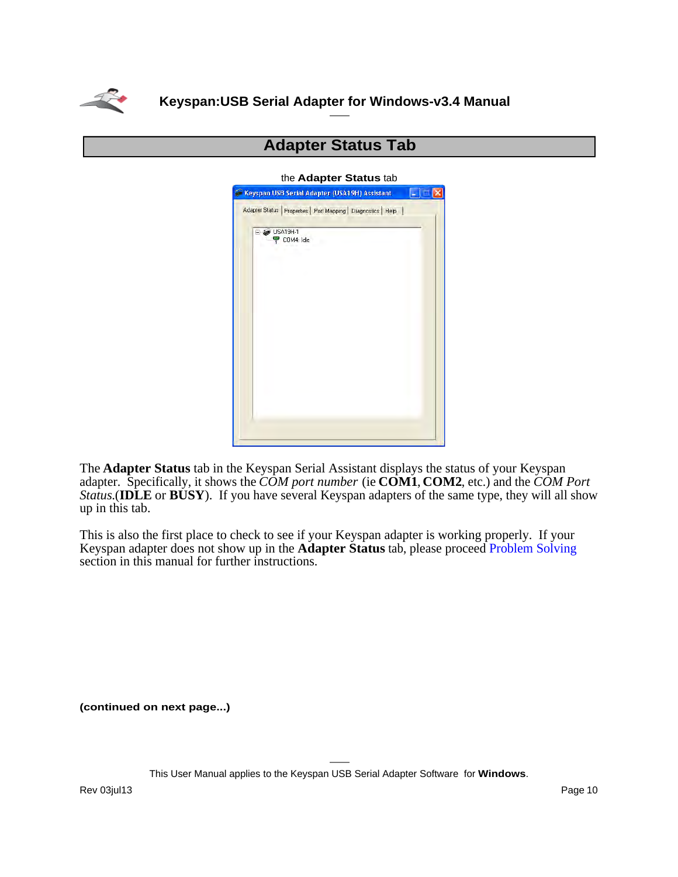

| the <b>Auapter Status</b> tab                                   |  |
|-----------------------------------------------------------------|--|
| Keyspan USB Serial Adapter (USA19H) Assistant<br>as.            |  |
| Adapter Status   Properties   Port Mapping   Diagnostics   Help |  |
|                                                                 |  |
| USA19H-1<br>$\degree$ COM4: Idle                                |  |
|                                                                 |  |
|                                                                 |  |
|                                                                 |  |
|                                                                 |  |
|                                                                 |  |
|                                                                 |  |
|                                                                 |  |
|                                                                 |  |
|                                                                 |  |
|                                                                 |  |
|                                                                 |  |
|                                                                 |  |
|                                                                 |  |
|                                                                 |  |
|                                                                 |  |
|                                                                 |  |

### **Adapter Status Tab**

### the **Adapter Status** tab

The **Adapter Status** tab in the Keyspan Serial Assistant displays the status of your Keyspan adapter. Specifically, it shows the *COM port number* (ie **COM1**, **COM2**, etc.) and the *COM Port Status*.(**IDLE** or **BUSY**). If you have several Keyspan adapters of the same type, they will all show up in this tab.

This is also the first place to check to see if your Keyspan adapter is working properly. If your Keyspan adapter does not show up in the **Adapter Status** tab, please proceed [Problem Solving](#page-19-0) section in this manual for further instructions.

**(continued on next page...)**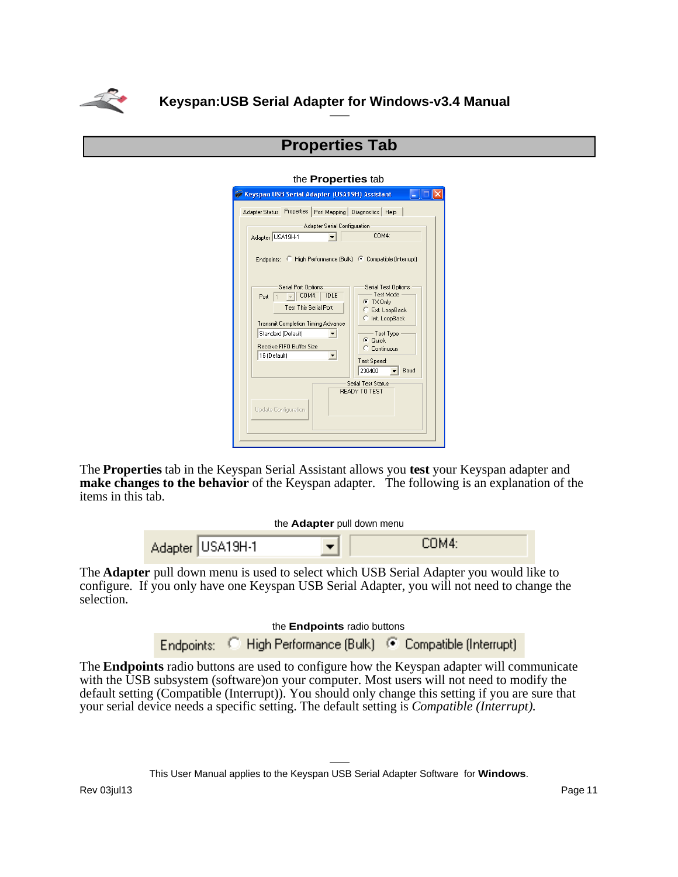

### **Properties Tab**

#### the **Properties** tab

| Keyspan USB Serial Adapter (USA19H) Assistant                                                                                                                                                                             |                                                                                                                                                                       |
|---------------------------------------------------------------------------------------------------------------------------------------------------------------------------------------------------------------------------|-----------------------------------------------------------------------------------------------------------------------------------------------------------------------|
| Properties   Port Mapping   Diagnostics   Help<br>Adapter Status<br>Adapter Serial Configuration<br>Adapter USA19H-1<br>Endpoints: C High Performance [Bulk] C Compatible [Interrupt]                                     | COM4:                                                                                                                                                                 |
| Serial Port Options<br>COM4:<br><b>IDLE</b><br>Port<br><b>Test This Serial Port</b><br><b>Transmit Completion Timing Advance</b><br>Standard (Default)<br>Receive FIFO Buffer Size<br>16 (Default)<br>$\vert \cdot \vert$ | Serial Test Options<br>Test Mode<br>$C$ TX Only<br>Ext. LoopBack<br>C Int. LoopBack<br>Test Type<br><b>Quick</b><br>G.<br>Continuous<br>Test Speed:<br>230400<br>Baud |
| Update Configuration                                                                                                                                                                                                      | Serial Test Status<br>READY TO TEST                                                                                                                                   |

The **Properties** tab in the Keyspan Serial Assistant allows you **test** your Keyspan adapter and **make changes to the behavior** of the Keyspan adapter. The following is an explanation of the items in this tab.

| the <b>Adapter</b> pull down menu |  |
|-----------------------------------|--|
|-----------------------------------|--|

| Adapter USA19H-1 | COM4: |
|------------------|-------|
|------------------|-------|

The **Adapter** pull down menu is used to select which USB Serial Adapter you would like to configure. If you only have one Keyspan USB Serial Adapter, you will not need to change the selection.

#### the **Endpoints** radio buttons

Endpoints: C High Performance (Bulk) C Compatible (Interrupt)

The **Endpoints** radio buttons are used to configure how the Keyspan adapter will communicate with the USB subsystem (software)on your computer. Most users will not need to modify the default setting (Compatible (Interrupt)). You should only change this setting if you are sure that your serial device needs a specific setting. The default setting is *Compatible (Interrupt)*.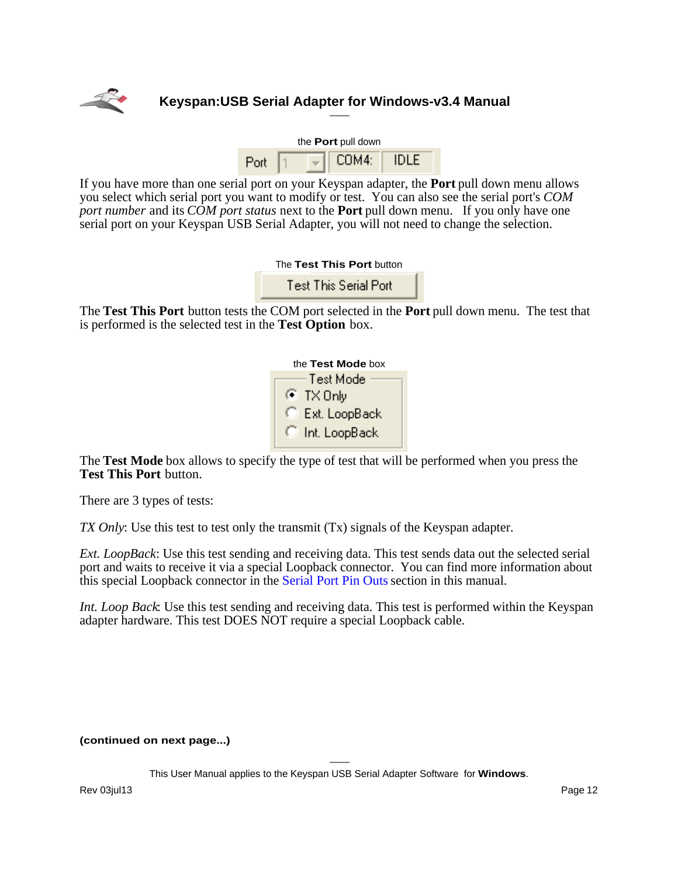

| the Port pull down |  |       |             |
|--------------------|--|-------|-------------|
| Port               |  | COM4: | <b>IDLE</b> |

If you have more than one serial port on your Keyspan adapter, the **Port** pull down menu allows you select which serial port you want to modify or test. You can also see the serial port's *COM port number* and its *COM port status* next to the **Port** pull down menu. If you only have one serial port on your Keyspan USB Serial Adapter, you will not need to change the selection.

| The Test This Port button |  |
|---------------------------|--|
| <b>T</b> . TI'S 'IM'      |  |

Test This Serial Port

The **Test This Port** button tests the COM port selected in the **Port** pull down menu. The test that is performed is the selected test in the **Test Option** box.

| the Test Mode box |
|-------------------|
| Test Mode         |
| ⊛ TXOnly          |
| Ext. LoopBack     |
| Int. LoopBack     |

The **Test Mode** box allows to specify the type of test that will be performed when you press the **Test This Port** button.

There are 3 types of tests:

*TX Only*: Use this test to test only the transmit (Tx) signals of the Keyspan adapter.

*Ext. LoopBack*: Use this test sending and receiving data. This test sends data out the selected serial port and waits to receive it via a special Loopback connector. You can find more information about this special Loopback connector in the [Serial Port Pin Outs](#page-29-0) section in this manual.

*Int. Loop Back*: Use this test sending and receiving data. This test is performed within the Keyspan adapter hardware. This test DOES NOT require a special Loopback cable.

#### **(continued on next page...)**

This User Manual applies to the Keyspan USB Serial Adapter Software for **Windows**.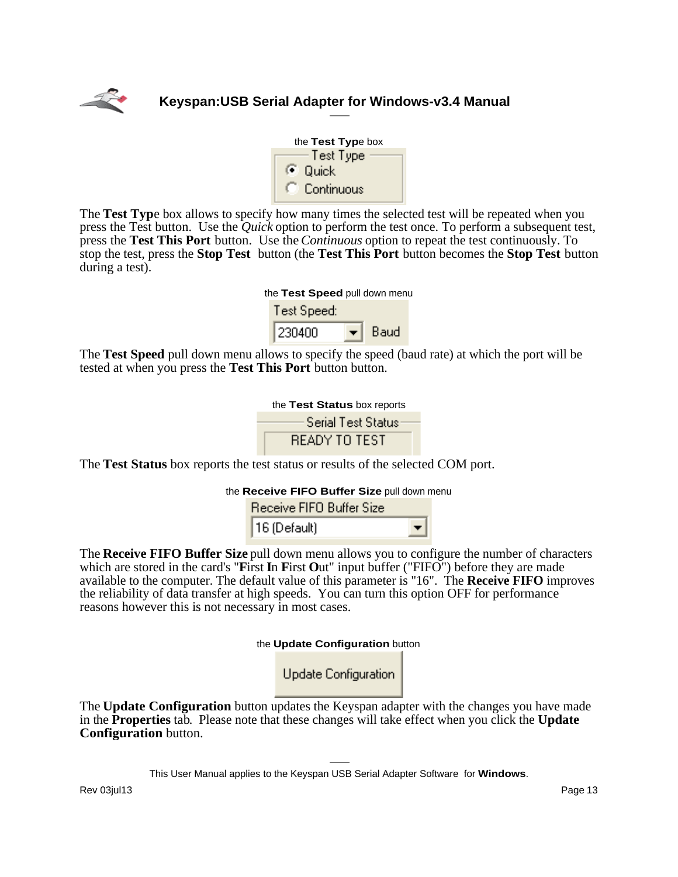



The **Test Typ**e box allows to specify how many times the selected test will be repeated when you press the Test button. Use the *Quick* option to perform the test once. To perform a subsequent test, press the **Test This Port** button. Use the *Continuous* option to repeat the test continuously. To stop the test, press the **Stop Test** button (the **Test This Port** button becomes the **Stop Test** button during a test).

| the Test Speed pull down menu |      |  |
|-------------------------------|------|--|
| Test Speed:                   |      |  |
| 230400                        | Baud |  |

The **Test Speed** pull down menu allows to specify the speed (baud rate) at which the port will be tested at when you press the **Test This Port** button button.



The **Test Status** box reports the test status or results of the selected COM port.

| Receive FIFO Buffer Size |  |
|--------------------------|--|
| $16$ (Default)           |  |

The **Receive FIFO Buffer Size** pull down menu allows you to configure the number of characters which are stored in the card's "**First In First Out**" input buffer ("FIFO") before they are made available to the computer. The default value of this parameter is "16". The **Receive FIFO** improves the reliability of data transfer at high speeds. You can turn this option OFF for performance reasons however this is not necessary in most cases.

the **Update Configuration** button

Update Configuration

The **Update Configuration** button updates the Keyspan adapter with the changes you have made in the **Properties** tab. Please note that these changes will take effect when you click the **Update Configuration** button.

This User Manual applies to the Keyspan USB Serial Adapter Software for **Windows**.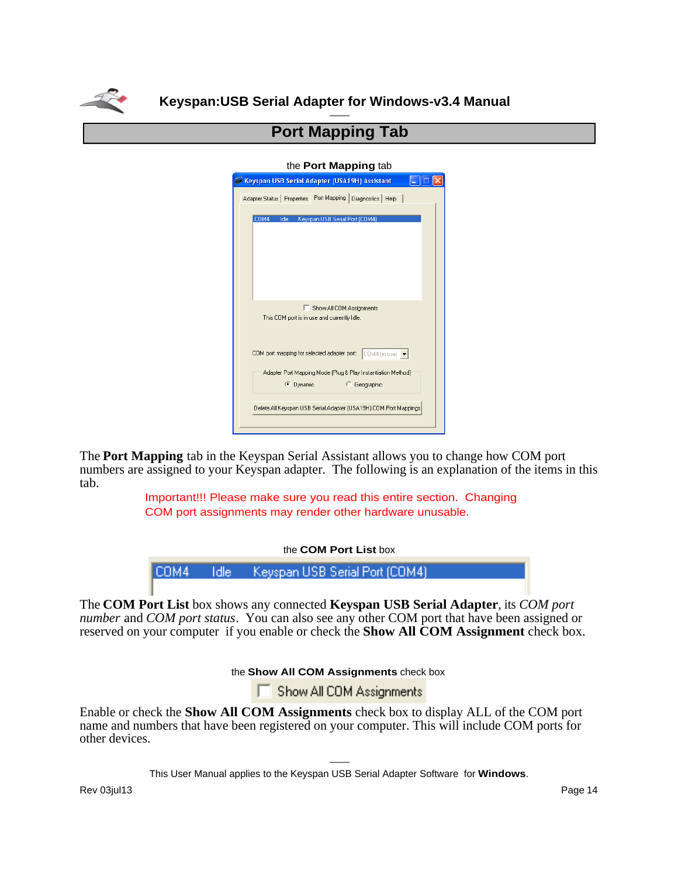

## **Port Mapping Tab**

#### the **Port Mapping** tab

| Keyspan USB Serial Adapter (USA19H) Assistant                                                    |  |
|--------------------------------------------------------------------------------------------------|--|
| Adapter Status   Properties   Port Mapping  <br>Diagnostics   Help                               |  |
| COM4<br>Keyspan USB Serial Port (COM4)<br>Idle                                                   |  |
| Show All COM Assignments<br>This COM port is in use and currently Idle.                          |  |
| COM port mapping for selected adapter port: COM4 (in use) $\blacktriangleright$                  |  |
| Adapter Port Mapping Mode (Plug & Play Instantiation Method)<br>C Dynamic<br><b>C</b> Geographic |  |
| Delete All Keyspan USB Serial Adapter (USA19H) COM Port Mappings                                 |  |

The **Port Mapping** tab in the Keyspan Serial Assistant allows you to change how COM port numbers are assigned to your Keyspan adapter. The following is an explanation of the items in this tab.

> Important!!! Please make sure you read this entire section. Changing COM port assignments may render other hardware unusable.

> > the **COM Port List** box

|  | COM4 Idle Keyspan USB Serial Port (COM4) |  |
|--|------------------------------------------|--|
|  |                                          |  |

The **COM Port List** box shows any connected **Keyspan USB Serial Adapter**, its *COM port number* and *COM port status*. You can also see any other COM port that have been assigned or reserved on your computer if you enable or check the **Show All COM Assignment** check box.

the **Show All COM Assignments** check box

Show All COM Assignments

Enable or check the **Show All COM Assignments** check box to display ALL of the COM port name and numbers that have been registered on your computer. This will include COM ports for other devices.

This User Manual applies to the Keyspan USB Serial Adapter Software for **Windows**.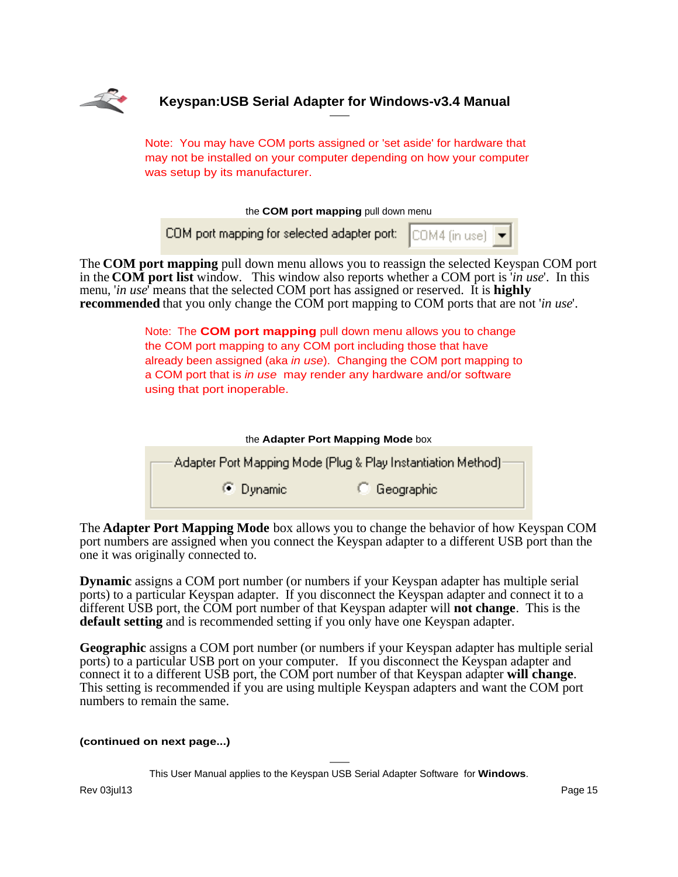

Note: You may have COM ports assigned or 'set aside' for hardware that may not be installed on your computer depending on how your computer was setup by its manufacturer.

the **COM port mapping** pull down menu

COM port mapping for selected adapter port: COM4 fin use)

The **COM port mapping** pull down menu allows you to reassign the selected Keyspan COM port in the **COM port list** window. This window also reports whether a COM port is '*in use*'. In this menu, '*in use*' means that the selected COM port has assigned or reserved. It is **highly recommended** that you only change the COM port mapping to COM ports that are not '*in use*'.

> Note: The **COM port mapping** pull down menu allows you to change the COM port mapping to any COM port including those that have already been assigned (aka in use). Changing the COM port mapping to a COM port that is in use may render any hardware and/or software using that port inoperable.

| the Adapter Port Mapping Mode box                            |                     |  |  |  |  |
|--------------------------------------------------------------|---------------------|--|--|--|--|
| Adapter Port Mapping Mode (Plug & Play Instantiation Method) |                     |  |  |  |  |
| $\bullet$ Dynamic                                            | <b>C</b> Geographic |  |  |  |  |

The **Adapter Port Mapping Mode** box allows you to change the behavior of how Keyspan COM port numbers are assigned when you connect the Keyspan adapter to a different USB port than the one it was originally connected to.

**Dynamic** assigns a COM port number (or numbers if your Keyspan adapter has multiple serial ports) to a particular Keyspan adapter. If you disconnect the Keyspan adapter and connect it to a different USB port, the COM port number of that Keyspan adapter will **not change**. This is the **default setting** and is recommended setting if you only have one Keyspan adapter.

**Geographic** assigns a COM port number (or numbers if your Keyspan adapter has multiple serial ports) to a particular USB port on your computer. If you disconnect the Keyspan adapter and connect it to a different USB port, the COM port number of that Keyspan adapter **will change**. This setting is recommended if you are using multiple Keyspan adapters and want the COM port numbers to remain the same.

#### **(continued on next page...)**

This User Manual applies to the Keyspan USB Serial Adapter Software for **Windows**.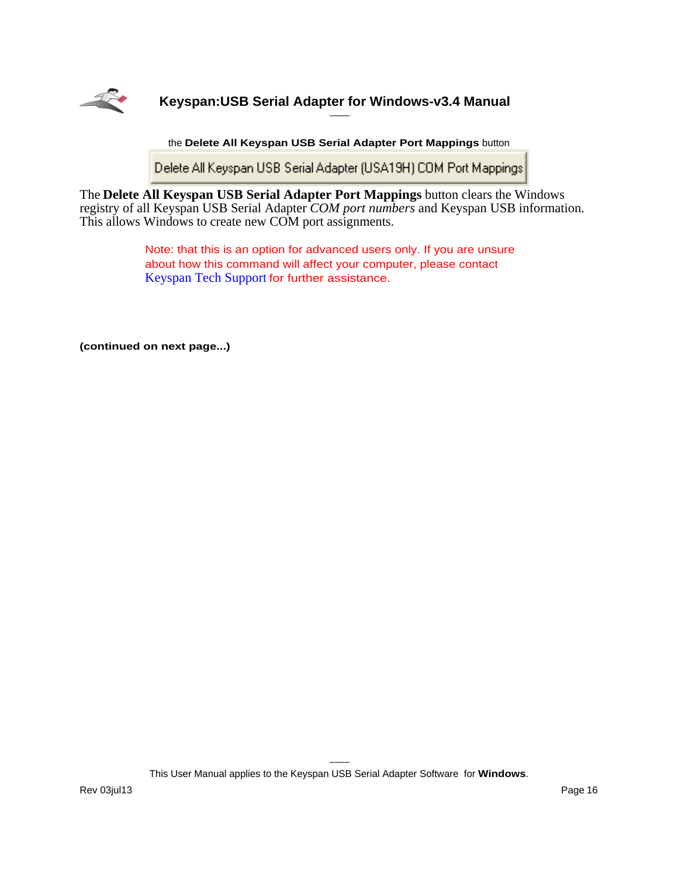

the **Delete All Keyspan USB Serial Adapter Port Mappings** button

Delete All Keyspan USB Serial Adapter (USA19H) COM Port Mappings

The **Delete All Keyspan USB Serial Adapter Port Mappings** button clears the Windows registry of all Keyspan USB Serial Adapter *COM port numbers* and Keyspan USB information. This allows Windows to create new COM port assignments.

> Note: that this is an option for advanced users only. If you are unsure about how this command will affect your computer, please contact [Keyspan Tech Support](#page-39-0) for further assistance.

**(continued on next page...)**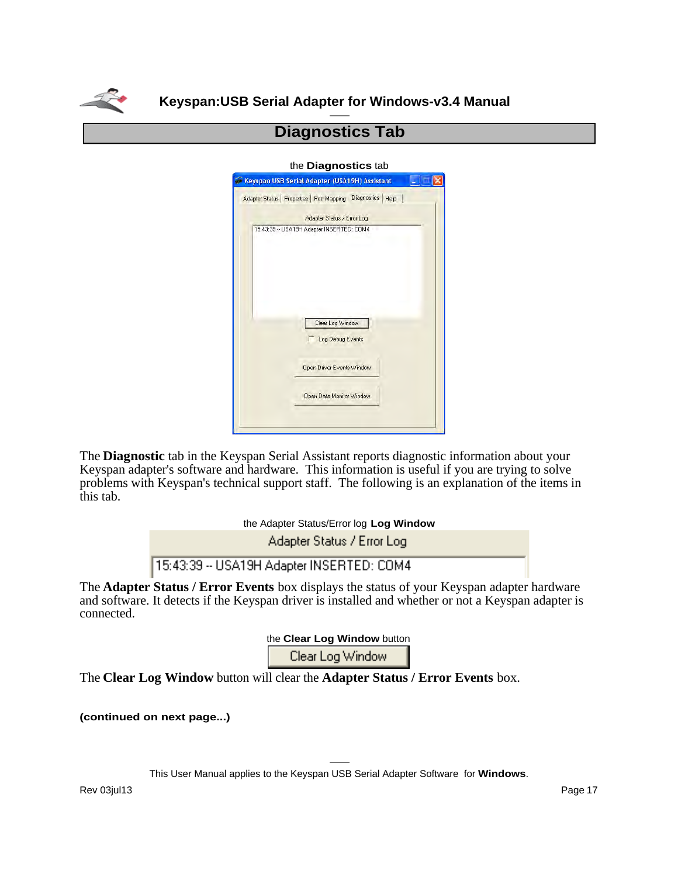

## **Diagnostics Tab**

#### the **Diagnostics** tab

| Keyspan USB Serial Adapter (USA19H) Assistant                 |
|---------------------------------------------------------------|
| Adapter Status   Properties   Port Mapping Diagnostics   Help |
| Adapter Status / Error Log                                    |
| 15:43:39 -- USA19H Adapter INSERTED: COM4                     |
|                                                               |
|                                                               |
|                                                               |
|                                                               |
| Clear Log Window                                              |
|                                                               |
| Log Debug Events                                              |
| <b>Open Driver Events Window</b>                              |
|                                                               |
| Open Data Monitor Window                                      |
|                                                               |
|                                                               |

The **Diagnostic** tab in the Keyspan Serial Assistant reports diagnostic information about your Keyspan adapter's software and hardware. This information is useful if you are trying to solve problems with Keyspan's technical support staff. The following is an explanation of the items in this tab.

the Adapter Status/Error log **Log Window**

Adapter Status / Error Log

15:43:39 -- USA19H Adapter INSERTED: COM4

The **Adapter Status / Error Events** box displays the status of your Keyspan adapter hardware and software. It detects if the Keyspan driver is installed and whether or not a Keyspan adapter is connected.

the **Clear Log Window** button

Clear Log Window

The **Clear Log Window** button will clear the **Adapter Status / Error Events** box.

**(continued on next page...)**

This User Manual applies to the Keyspan USB Serial Adapter Software for **Windows**.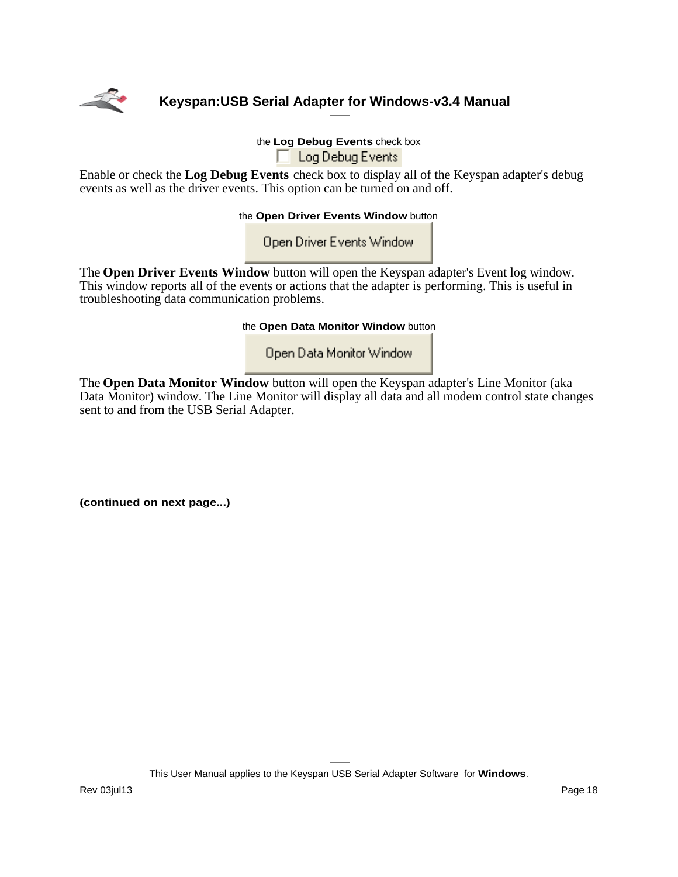

the **Log Debug Events** check box Log Debug Events

Enable or check the **Log Debug Events** check box to display all of the Keyspan adapter's debug events as well as the driver events. This option can be turned on and off.

the **Open Driver Events Window** button

Open Driver Events Window

The **Open Driver Events Window** button will open the Keyspan adapter's Event log window. This window reports all of the events or actions that the adapter is performing. This is useful in troubleshooting data communication problems.

the **Open Data Monitor Window** button

Open Data Monitor Window

The **Open Data Monitor Window** button will open the Keyspan adapter's Line Monitor (aka Data Monitor) window. The Line Monitor will display all data and all modem control state changes sent to and from the USB Serial Adapter.

**(continued on next page...)**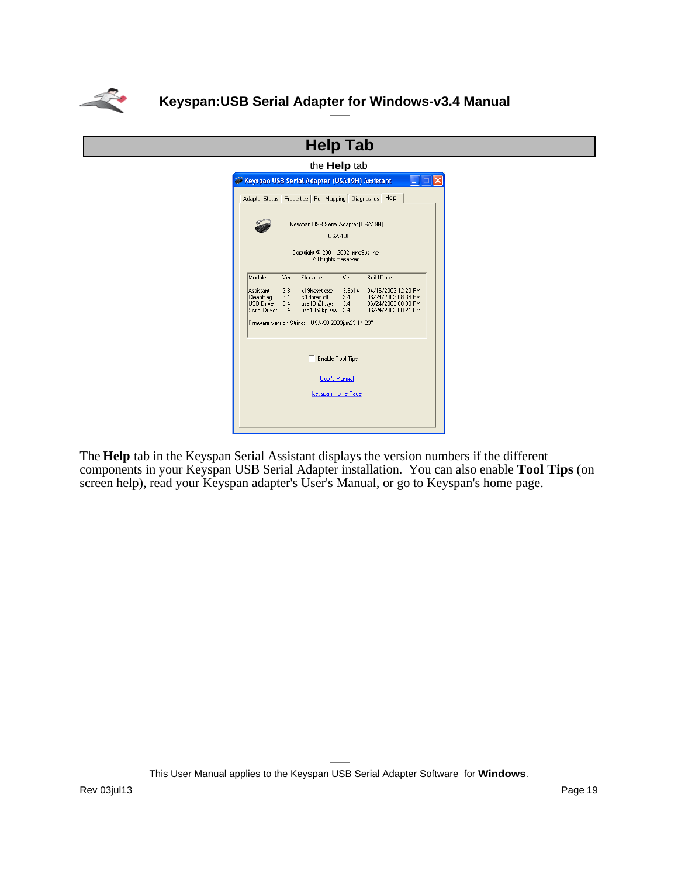

| <b>Help Tab</b>                               |                                                                                                                                                                                                                                                               |                                                           |                |                   |  |  |
|-----------------------------------------------|---------------------------------------------------------------------------------------------------------------------------------------------------------------------------------------------------------------------------------------------------------------|-----------------------------------------------------------|----------------|-------------------|--|--|
|                                               | the <b>Help</b> tab                                                                                                                                                                                                                                           |                                                           |                |                   |  |  |
| Keyspan USB Serial Adapter (USA19H) Assistant |                                                                                                                                                                                                                                                               |                                                           |                |                   |  |  |
|                                               |                                                                                                                                                                                                                                                               | Adapter Status   Properties   Port Mapping   Diagnostics  |                | Help              |  |  |
|                                               |                                                                                                                                                                                                                                                               | Keyspan USB Serial Adapter (USA19H)                       | <b>HSA-19H</b> |                   |  |  |
|                                               |                                                                                                                                                                                                                                                               | Copyright © 2001-2002 InnoSys Inc.<br>All Rights Reserved |                |                   |  |  |
| Module                                        | Ver                                                                                                                                                                                                                                                           | Filename                                                  | Ver            | <b>Build Date</b> |  |  |
| Assistant<br>CleanReg                         | 33<br>3.3 <sub>b14</sub><br>04/16/2003 12:23 PM<br>k19hasst.exe<br>3.4<br>3.4<br>cl19hreg.dll<br>06/24/2003 08:34 PM<br>06/24/2003 08:30 PM<br>USB Driver<br>3.4<br>usa19h2k.svs<br>34<br>Serial Driver<br>3.4<br>usa19h2kp.sys<br>3.4<br>06/24/2003 08:21 PM |                                                           |                |                   |  |  |
|                                               |                                                                                                                                                                                                                                                               | Firmware Version String: "USA-90 2003jun23 14:23"         |                |                   |  |  |
| Enable Tool Tips<br><b>User's Manual</b>      |                                                                                                                                                                                                                                                               |                                                           |                |                   |  |  |
| Keyspan Home Page                             |                                                                                                                                                                                                                                                               |                                                           |                |                   |  |  |
|                                               |                                                                                                                                                                                                                                                               |                                                           |                |                   |  |  |

The **Help** tab in the Keyspan Serial Assistant displays the version numbers if the different components in your Keyspan USB Serial Adapter installation. You can also enable **Tool Tips** (on screen help), read your Keyspan adapter's User's Manual, or go to Keyspan's home page.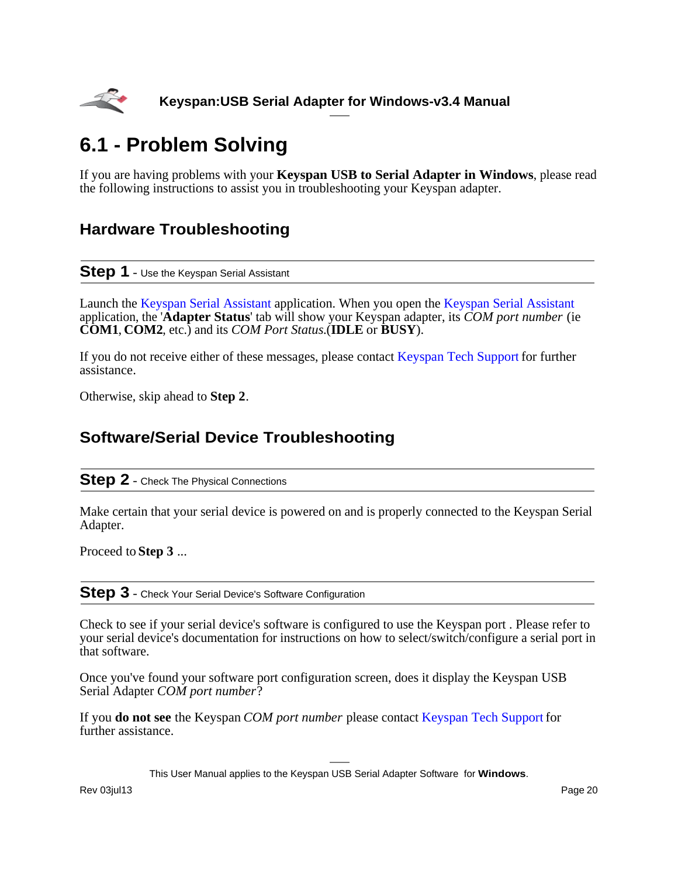<span id="page-19-0"></span>

# **6.1 - Problem Solving**

If you are having problems with your **Keyspan USB to Serial Adapter in Windows**, please read the following instructions to assist you in troubleshooting your Keyspan adapter.

## **Hardware Troubleshooting**

### **Step 1** - Use the Keyspan Serial Assistant

Launch the [Keyspan Serial Assistant](#page-8-0) application. When you open the [Keyspan Serial Assistant](#page-8-0) application, the '**Adapter Status**' tab will show your Keyspan adapter, its *COM port number* (ie **COM1**, **COM2**, etc.) and its *COM Port Status*.(**IDLE** or **BUSY**).

If you do not receive either of these messages, please contact [Keyspan Tech Support](#page-39-0) for further assistance.

Otherwise, skip ahead to **Step 2**.

## **Software/Serial Device Troubleshooting**

### **Step 2** - Check The Physical Connections

Make certain that your serial device is powered on and is properly connected to the Keyspan Serial Adapter.

Proceed to **Step 3** ...

**Step 3** - Check Your Serial Device's Software Configuration

Check to see if your serial device's software is configured to use the Keyspan port . Please refer to your serial device's documentation for instructions on how to select/switch/configure a serial port in that software.

Once you've found your software port configuration screen, does it display the Keyspan USB Serial Adapter *COM port number*?

If you **do not see** the Keyspan *COM port number* please contact [Keyspan Tech Support](#page-39-0) for further assistance.

This User Manual applies to the Keyspan USB Serial Adapter Software for **Windows**.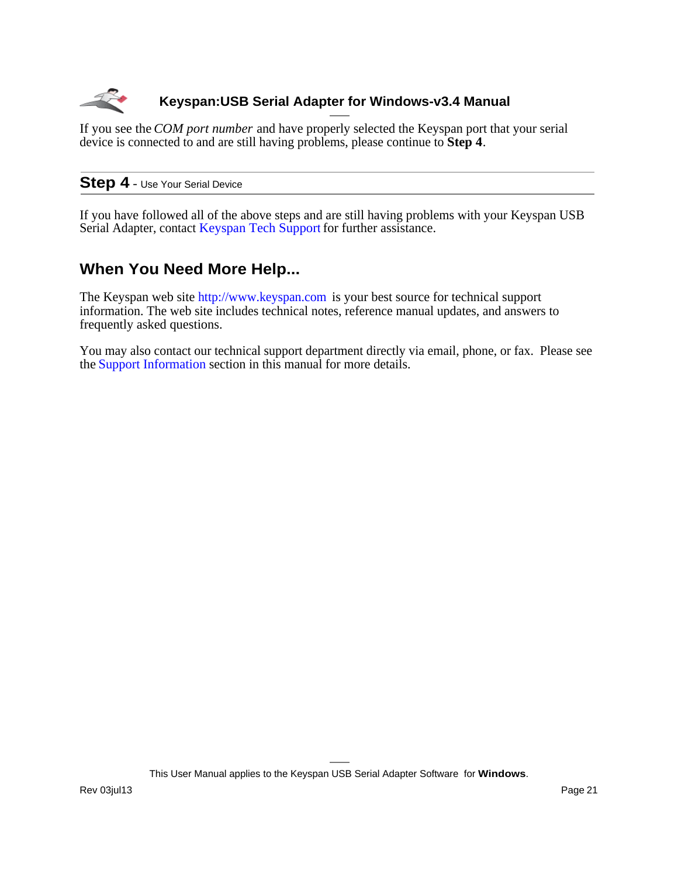

If you see the *COM port number* and have properly selected the Keyspan port that your serial device is connected to and are still having problems, please continue to **Step 4**.

### **Step 4** - Use Your Serial Device

If you have followed all of the above steps and are still having problems with your Keyspan USB Serial Adapter, contact [Keyspan Tech Support](#page-39-0) for further assistance.

## **When You Need More Help...**

The Keyspan web site<http://www.keyspan.com> is your best source for technical support information. The web site includes technical notes, reference manual updates, and answers to frequently asked questions.

You may also contact our technical support department directly via email, phone, or fax. Please see the [Support Information](#page-39-0) section in this manual for more details.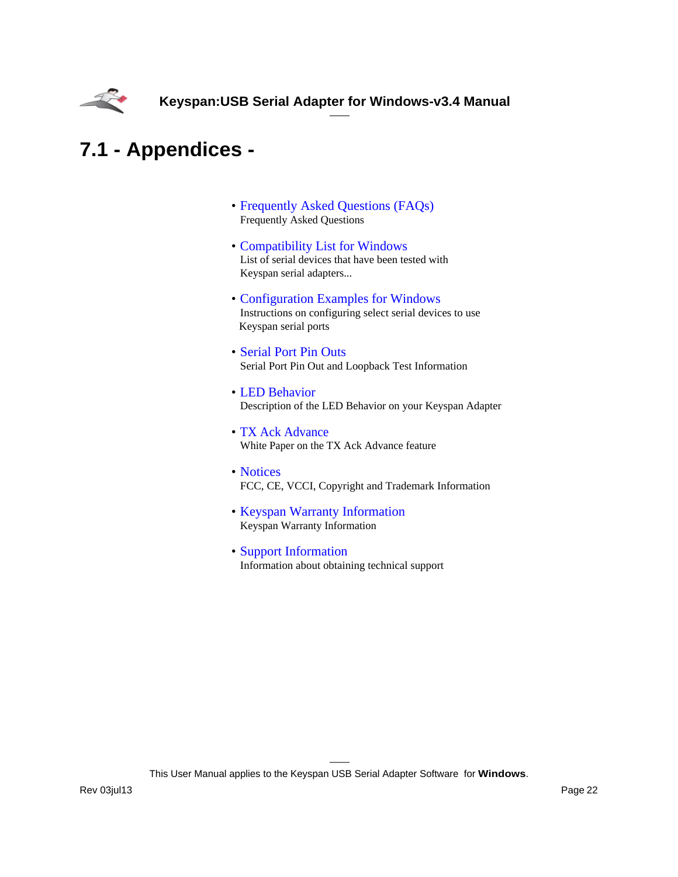<span id="page-21-0"></span>

# **7.1 - Appendices -**

- [Frequently Asked Questions \(FAQs\)](#page-22-0) Frequently Asked Questions
- [Compatibility List for Windows](#page-23-0) List of serial devices that have been tested with Keyspan serial adapters...
- [Configuration Examples for Windows](#page-25-0) Instructions on configuring select serial devices to use Keyspan serial ports
- [Serial Port Pin Outs](#page-29-0) Serial Port Pin Out and Loopback Test Information
- [LED Behavior](#page-30-0) Description of the LED Behavior on your Keyspan Adapter
- [TX Ack Advance](#page-31-0) White Paper on the TX Ack Advance feature
- [Notices](#page-33-0) FCC, CE, VCCI, Copyright and Trademark Information
- [Keyspan Warranty Information](#page-36-0) Keyspan Warranty Information
- [Support Information](#page-39-0) Information about obtaining technical support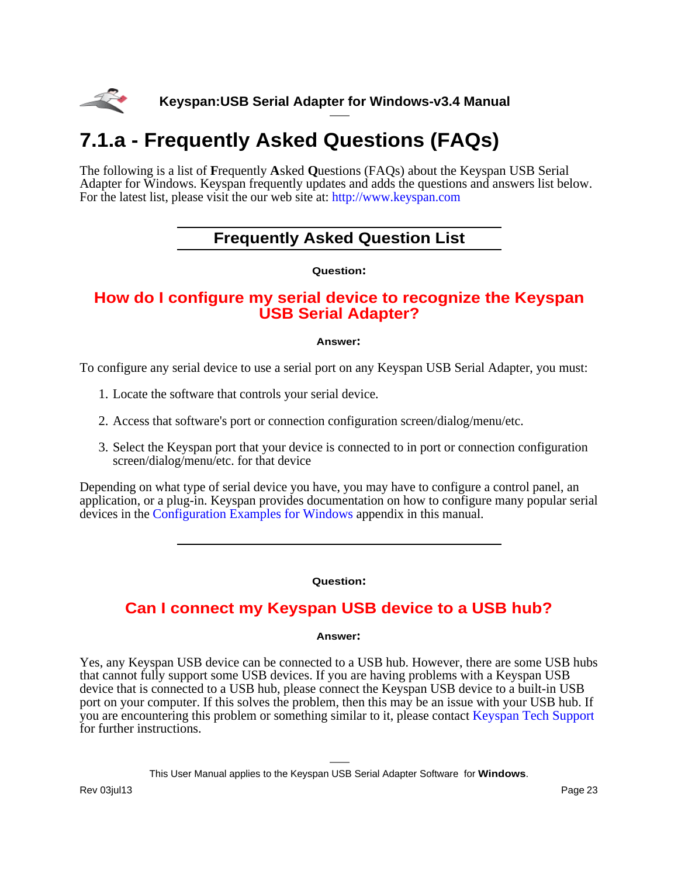<span id="page-22-0"></span>

# **7.1.a - Frequently Asked Questions (FAQs)**

The following is a list of **F**requently **A**sked **Q**uestions (FAQs) about the Keyspan USB Serial Adapter for Windows. Keyspan frequently updates and adds the questions and answers list below. For the latest list, please visit the our web site at: <http://www.keyspan.com>

## **Frequently Asked Question List**

**Question:**

### **How do I configure my serial device to recognize the Keyspan USB Serial Adapter?**

#### **Answer:**

To configure any serial device to use a serial port on any Keyspan USB Serial Adapter, you must:

- 1. Locate the software that controls your serial device.
- 2. Access that software's port or connection configuration screen/dialog/menu/etc.
- 3. Select the Keyspan port that your device is connected to in port or connection configuration screen/dialog/menu/etc. for that device

Depending on what type of serial device you have, you may have to configure a control panel, an application, or a plug-in. Keyspan provides documentation on how to configure many popular serial devices in the [Configuration Examples for Windows](#page-25-0) appendix in this manual.

#### **Question:**

## **Can I connect my Keyspan USB device to a USB hub?**

#### **Answer:**

Yes, any Keyspan USB device can be connected to a USB hub. However, there are some USB hubs that cannot fully support some USB devices. If you are having problems with a Keyspan USB device that is connected to a USB hub, please connect the Keyspan USB device to a built-in USB port on your computer. If this solves the problem, then this may be an issue with your USB hub. If you are encountering this problem or something similar to it, please contact [Keyspan Tech Support](#page-39-0) for further instructions.

This User Manual applies to the Keyspan USB Serial Adapter Software for **Windows**.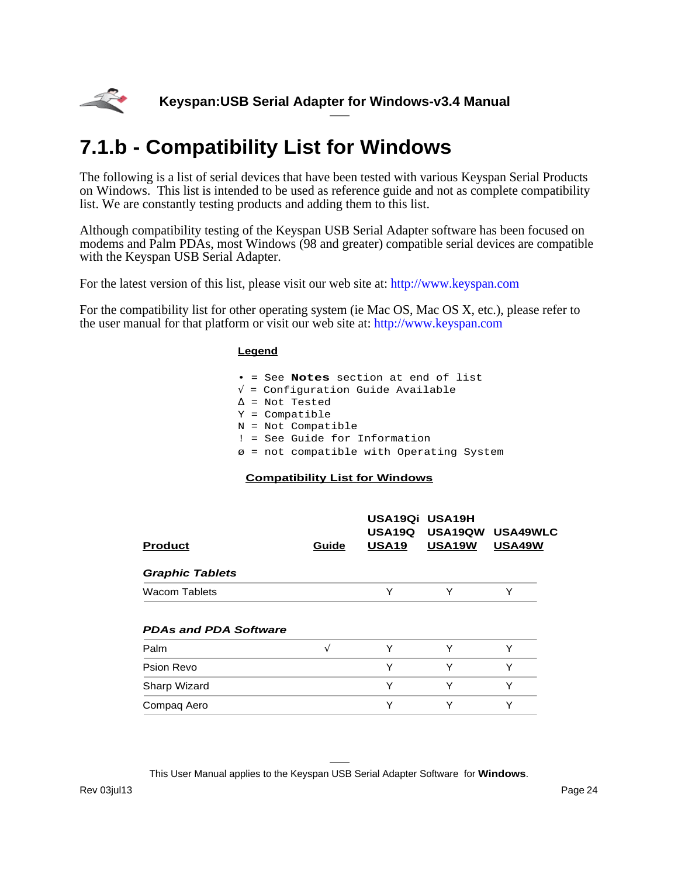<span id="page-23-0"></span>

# **7.1.b - Compatibility List for Windows**

The following is a list of serial devices that have been tested with various Keyspan Serial Products on Windows. This list is intended to be used as reference guide and not as complete compatibility list. We are constantly testing products and adding them to this list.

Although compatibility testing of the Keyspan USB Serial Adapter software has been focused on modems and Palm PDAs, most Windows (98 and greater) compatible serial devices are compatible with the Keyspan USB Serial Adapter.

For the latest version of this list, please visit our web site at:<http://www.keyspan.com>

For the compatibility list for other operating system (ie Mac OS, Mac OS X, etc.), please refer to the user manual for that platform or visit our web site at:<http://www.keyspan.com>

#### **Legend**

|  | $\bullet$ = See Notes section at end of list |
|--|----------------------------------------------|
|  | $\sqrt{\ }$ = Configuration Guide Available  |
|  | $\Delta$ = Not Tested                        |
|  | $Y =$ Compatible                             |
|  | $N = Not Compatible$                         |
|  | : = See Guide for Information                |
|  | ø = not compatible with Operating System     |

### **Compatibility List for Windows**

| <b>Product</b>               | Guide | USA19Qi USA19H<br><b>USA19Q</b><br>USA <sub>19</sub> | USA19QW<br>USA19W | <b>USA49WLC</b><br>USA49W |
|------------------------------|-------|------------------------------------------------------|-------------------|---------------------------|
| <b>Graphic Tablets</b>       |       |                                                      |                   |                           |
| <b>Wacom Tablets</b>         |       | Y                                                    | Υ                 | Υ                         |
| <b>PDAs and PDA Software</b> |       |                                                      |                   |                           |
| Palm                         | N     | Y                                                    | Υ                 | ٧                         |
| Psion Revo                   |       | Y                                                    | Υ                 | Y                         |
| Sharp Wizard                 |       | Y                                                    | Υ                 | Υ                         |
| Compag Aero                  |       | Y                                                    | Y                 | Υ                         |
|                              |       |                                                      |                   |                           |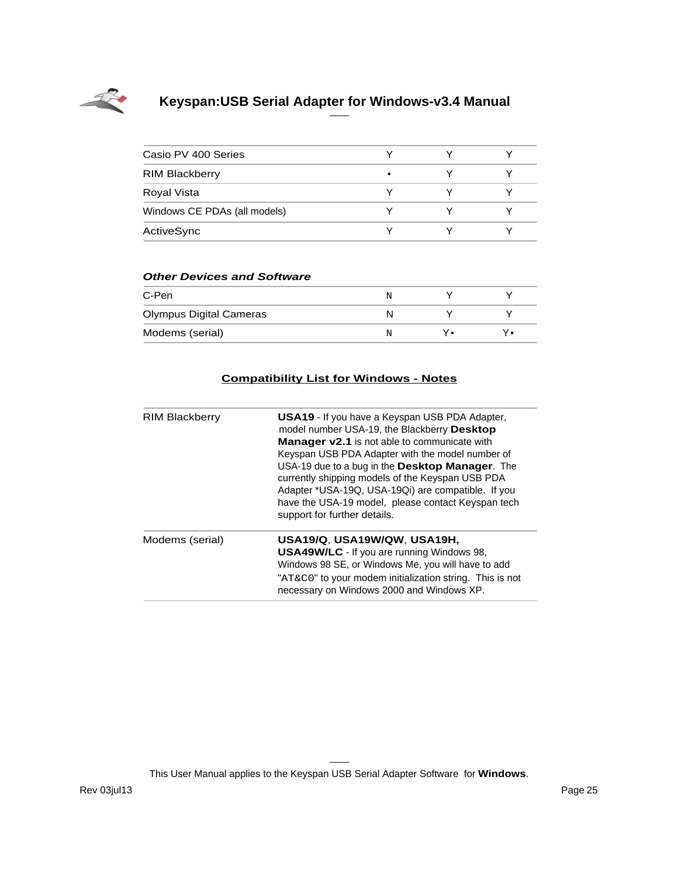

| Casio PV 400 Series          |   |  |
|------------------------------|---|--|
| <b>RIM Blackberry</b>        | ٠ |  |
| Royal Vista                  |   |  |
| Windows CE PDAs (all models) |   |  |
| ActiveSync                   |   |  |

#### **Other Devices and Software**

| C-Pen                          | N |  |
|--------------------------------|---|--|
| <b>Olympus Digital Cameras</b> |   |  |
| Modems (serial)                | N |  |

### **Compatibility List for Windows - Notes**

| <b>RIM Blackberry</b> | <b>USA19</b> - If you have a Keyspan USB PDA Adapter,<br>model number USA-19, the Blackberry Desktop<br><b>Manager v2.1</b> is not able to communicate with<br>Keyspan USB PDA Adapter with the model number of<br>USA-19 due to a bug in the Desktop Manager. The<br>currently shipping models of the Keyspan USB PDA<br>Adapter *USA-19Q, USA-19Qi) are compatible. If you<br>have the USA-19 model, please contact Keyspan tech<br>support for further details. |
|-----------------------|--------------------------------------------------------------------------------------------------------------------------------------------------------------------------------------------------------------------------------------------------------------------------------------------------------------------------------------------------------------------------------------------------------------------------------------------------------------------|
| Modems (serial)       | USA19/Q, USA19W/QW, USA19H,<br><b>USA49W/LC</b> - If you are running Windows 98,<br>Windows 98 SE, or Windows Me, you will have to add<br>"AT&C0" to your modem initialization string. This is not<br>necessary on Windows 2000 and Windows XP.                                                                                                                                                                                                                    |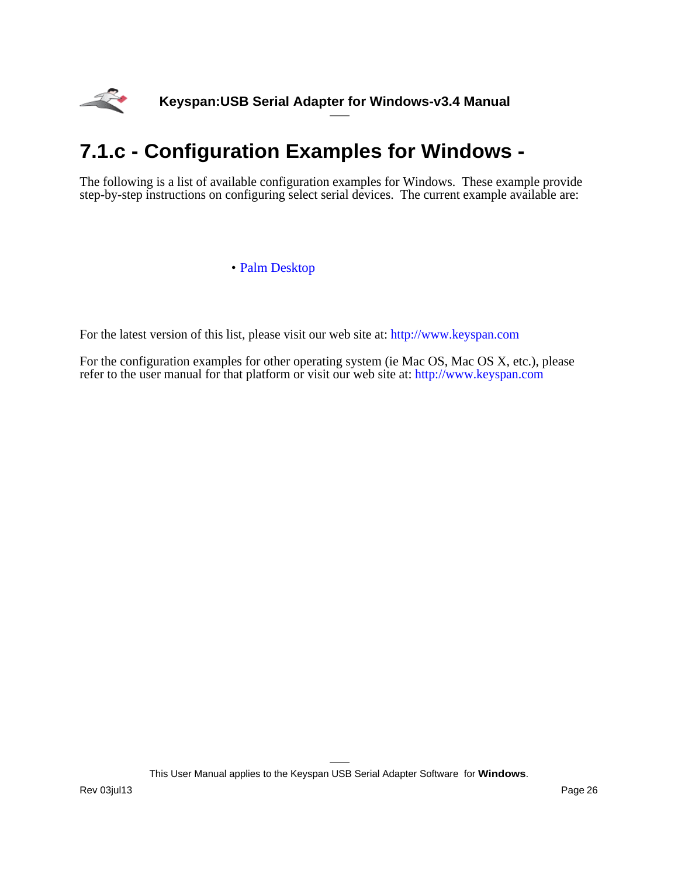<span id="page-25-0"></span>

# **7.1.c - Configuration Examples for Windows -**

The following is a list of available configuration examples for Windows. These example provide step-by-step instructions on configuring select serial devices. The current example available are:

### • [Palm Desktop](#page-26-0)

For the latest version of this list, please visit our web site at:<http://www.keyspan.com>

For the configuration examples for other operating system (ie Mac OS, Mac OS X, etc.), please refer to the user manual for that platform or visit our web site at:<http://www.keyspan.com>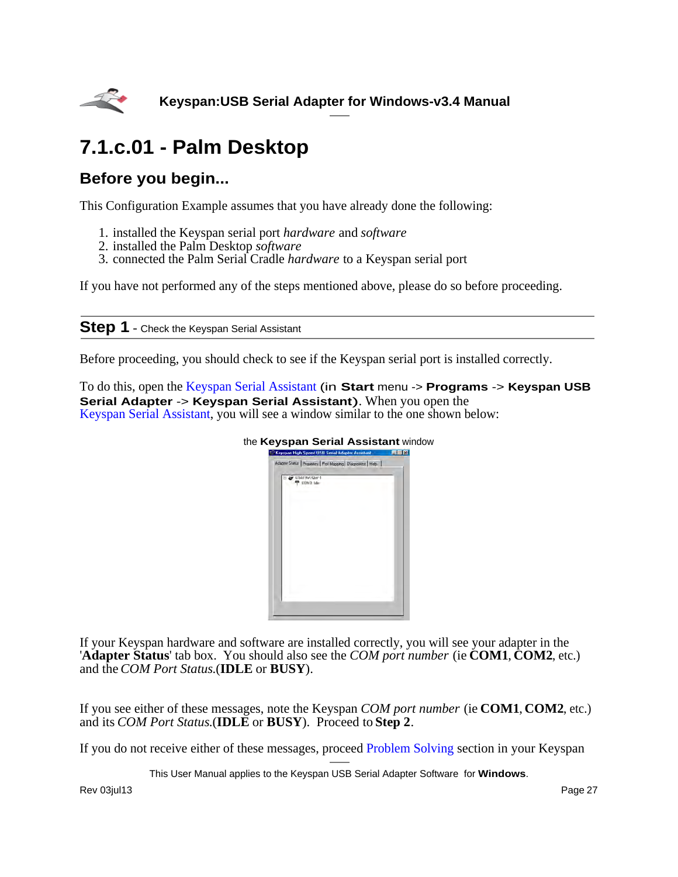<span id="page-26-0"></span>

# **7.1.c.01 - Palm Desktop**

## **Before you begin...**

This Configuration Example assumes that you have already done the following:

- 1. installed the Keyspan serial port *hardware* and *software*
- 2. installed the Palm Desktop *software*
- 3. connected the Palm Serial Cradle *hardware* to a Keyspan serial port

If you have not performed any of the steps mentioned above, please do so before proceeding.

### **Step 1** - Check the Keyspan Serial Assistant

Before proceeding, you should check to see if the Keyspan serial port is installed correctly.

To do this, open the [Keyspan Serial Assistant](#page-8-0) (in **Start** menu -> **Programs** -> **Keyspan USB Serial Adapter -> Keyspan Serial Assistant**). When you open the [Keyspan Serial Assistant](#page-8-0), you will see a window similar to the one shown below:



If your Keyspan hardware and software are installed correctly, you will see your adapter in the '**Adapter Status**' tab box. You should also see the *COM port number* (ie **COM1**, **COM2**, etc.) and the *COM Port Status*.(**IDLE** or **BUSY**).

If you see either of these messages, note the Keyspan *COM port number* (ie **COM1**, **COM2**, etc.) and its *COM Port Status*.(**IDLE** or **BUSY**). Proceed to **Step 2**.

If you do not receive either of these messages, proceed [Problem Solving](#page-19-0) section in your Keyspan

This User Manual applies to the Keyspan USB Serial Adapter Software for **Windows**.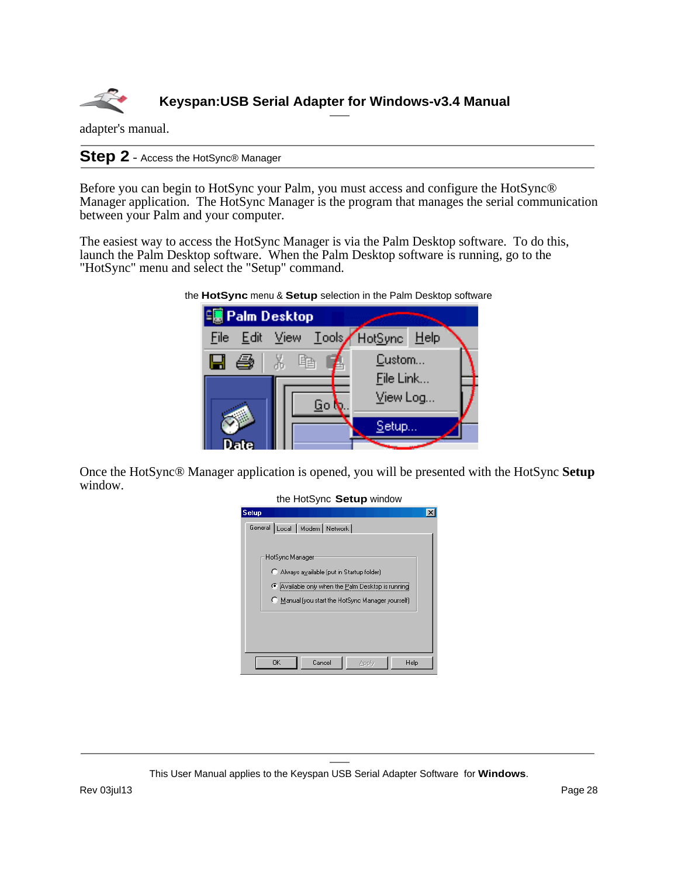

adapter's manual.

**Step 2** - Access the HotSync® Manager

Before you can begin to HotSync your Palm, you must access and configure the HotSync® Manager application. The HotSync Manager is the program that manages the serial communication between your Palm and your computer.

The easiest way to access the HotSync Manager is via the Palm Desktop software. To do this, launch the Palm Desktop software. When the Palm Desktop software is running, go to the "HotSync" menu and select the "Setup" command.



the **HotSync** menu & **Setup** selection in the Palm Desktop software

Once the HotSync® Manager application is opened, you will be presented with the HotSync **Setup** window.

| the HotSync Setup window                                                                                                                                            |  |
|---------------------------------------------------------------------------------------------------------------------------------------------------------------------|--|
| <b>Setup</b>                                                                                                                                                        |  |
| General Local   Modem   Network                                                                                                                                     |  |
| HotSync Manager<br>C Always available (put in Startup folder)<br>Available only when the Palm Desktop is running<br>Manual (you start the HotSync Manager yourself) |  |
| Cancel<br>0K<br>Help<br>Apply                                                                                                                                       |  |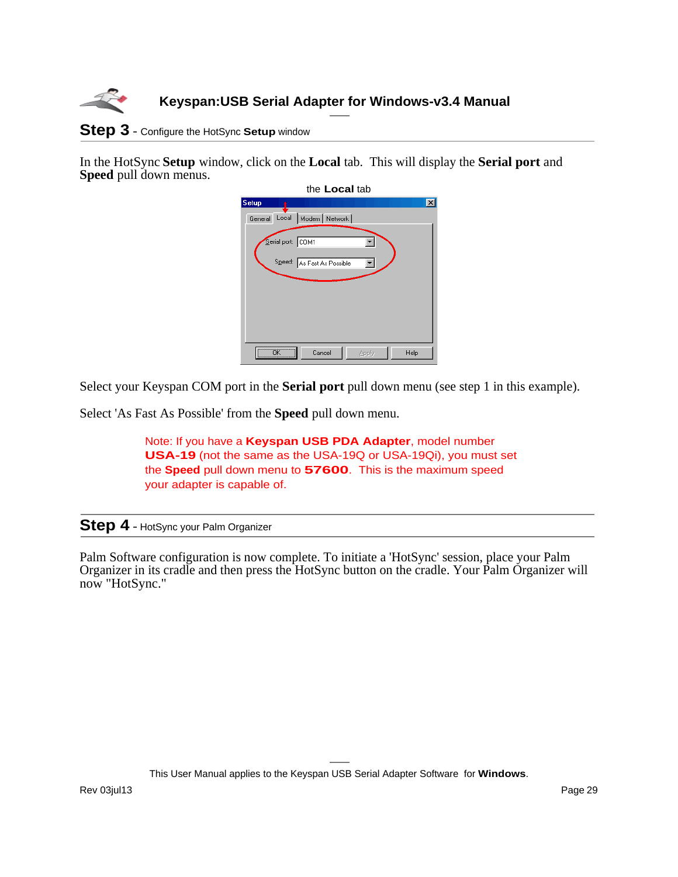

### **Step 3** - Configure the HotSync **Setup** window

In the HotSync **Setup** window, click on the **Local** tab. This will display the **Serial port** and **Speed** pull down menus.

|              |                         | the <b>Local</b> tab            |       |      |   |
|--------------|-------------------------|---------------------------------|-------|------|---|
| <b>Setup</b> |                         |                                 |       |      | × |
|              |                         | General Local   Modem   Network |       |      |   |
|              | Serial port: COM1       | Speed: As Fast As Possible      |       |      |   |
|              | $\overline{\mathsf{R}}$ | Cancel                          | Apply | Help |   |

Select your Keyspan COM port in the **Serial port** pull down menu (see step 1 in this example).

Select 'As Fast As Possible' from the **Speed** pull down menu.

Note: If you have a **Keyspan USB PDA Adapter**, model number **USA-19** (not the same as the USA-19Q or USA-19Qi), you must set the **Speed** pull down menu to **57600**. This is the maximum speed your adapter is capable of.

### **Step 4** - HotSync your Palm Organizer

Palm Software configuration is now complete. To initiate a 'HotSync' session, place your Palm Organizer in its cradle and then press the HotSync button on the cradle. Your Palm Organizer will now "HotSync."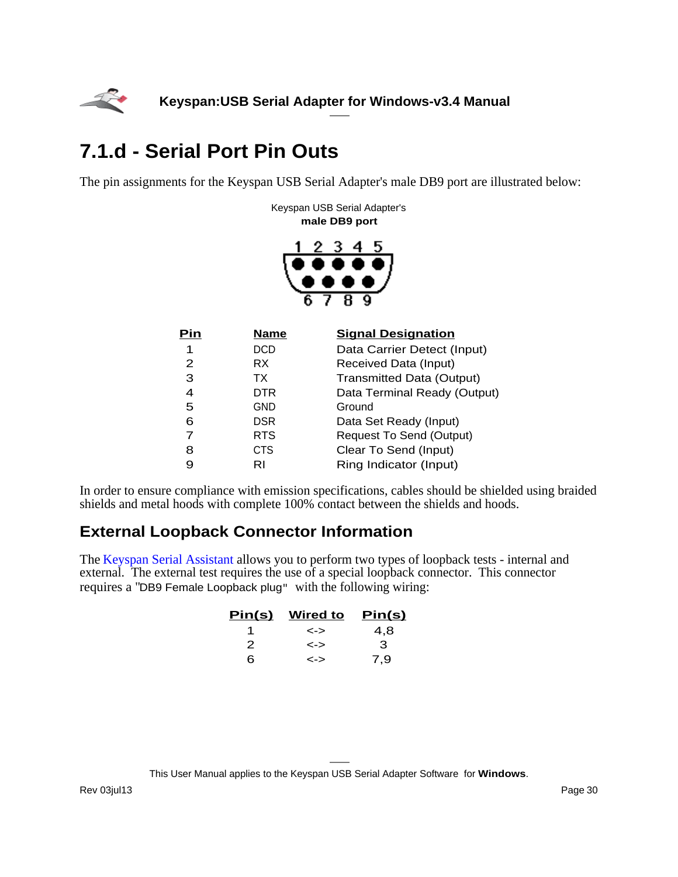<span id="page-29-0"></span>

# **7.1.d - Serial Port Pin Outs**

The pin assignments for the Keyspan USB Serial Adapter's male DB9 port are illustrated below:

Keyspan USB Serial Adapter's **male DB9 port**



| Pin | <b>Name</b> | <b>Signal Designation</b>        |
|-----|-------------|----------------------------------|
| 1   | <b>DCD</b>  | Data Carrier Detect (Input)      |
| 2   | RX.         | Received Data (Input)            |
| 3   | TX.         | <b>Transmitted Data (Output)</b> |
| 4   | <b>DTR</b>  | Data Terminal Ready (Output)     |
| 5   | GND         | Ground                           |
| 6   | <b>DSR</b>  | Data Set Ready (Input)           |
| 7   | <b>RTS</b>  | <b>Request To Send (Output)</b>  |
| 8   | CTS         | Clear To Send (Input)            |
| 9   | RI          | Ring Indicator (Input)           |

In order to ensure compliance with emission specifications, cables should be shielded using braided shields and metal hoods with complete 100% contact between the shields and hoods.

## **External Loopback Connector Information**

The [Keyspan Serial Assistant](#page-8-0) allows you to perform two types of loopback tests - internal and external. The external test requires the use of a special loopback connector. This connector requires a "DB9 Female Loopback plug" with the following wiring:

| <u>Pin(s)</u> | <b>Wired to</b> | <u>Pin(s)</u> |
|---------------|-----------------|---------------|
|               | <->             | 4.8           |
| 2             | <->             | з             |
| 6             | <->             | 7,9           |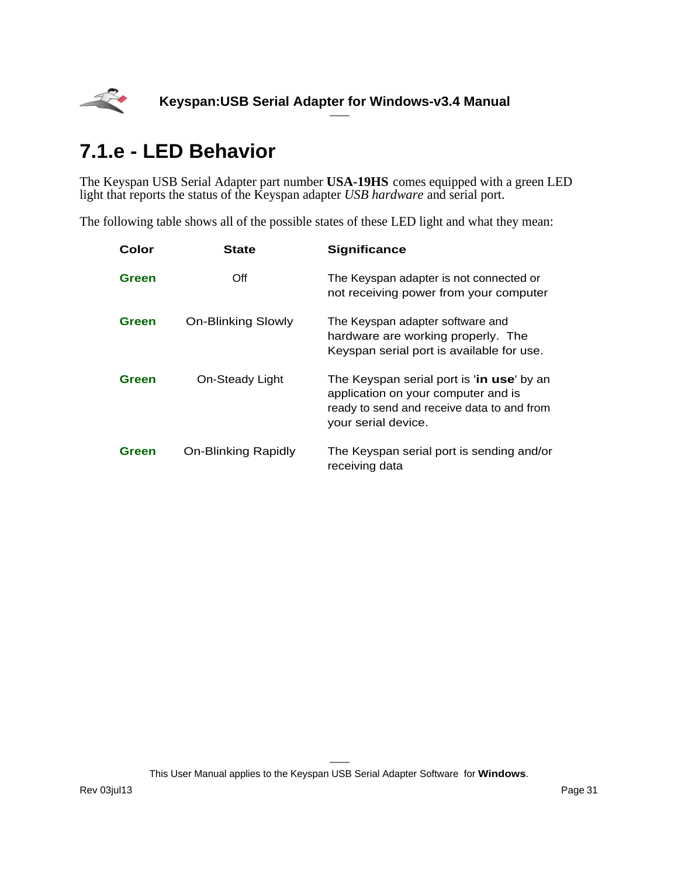<span id="page-30-0"></span>

# **7.1.e - LED Behavior**

The Keyspan USB Serial Adapter part number **USA-19HS** comes equipped with a green LED light that reports the status of the Keyspan adapter *USB hardware* and serial port.

The following table shows all of the possible states of these LED light and what they mean:

| Color | <b>State</b>              | <b>Significance</b>                                                                                                                                   |
|-------|---------------------------|-------------------------------------------------------------------------------------------------------------------------------------------------------|
| Green | Off                       | The Keyspan adapter is not connected or<br>not receiving power from your computer                                                                     |
| Green | <b>On-Blinking Slowly</b> | The Keyspan adapter software and<br>hardware are working properly. The<br>Keyspan serial port is available for use.                                   |
| Green | On-Steady Light           | The Keyspan serial port is 'in use' by an<br>application on your computer and is<br>ready to send and receive data to and from<br>your serial device. |
| Green | On-Blinking Rapidly       | The Keyspan serial port is sending and/or<br>receiving data                                                                                           |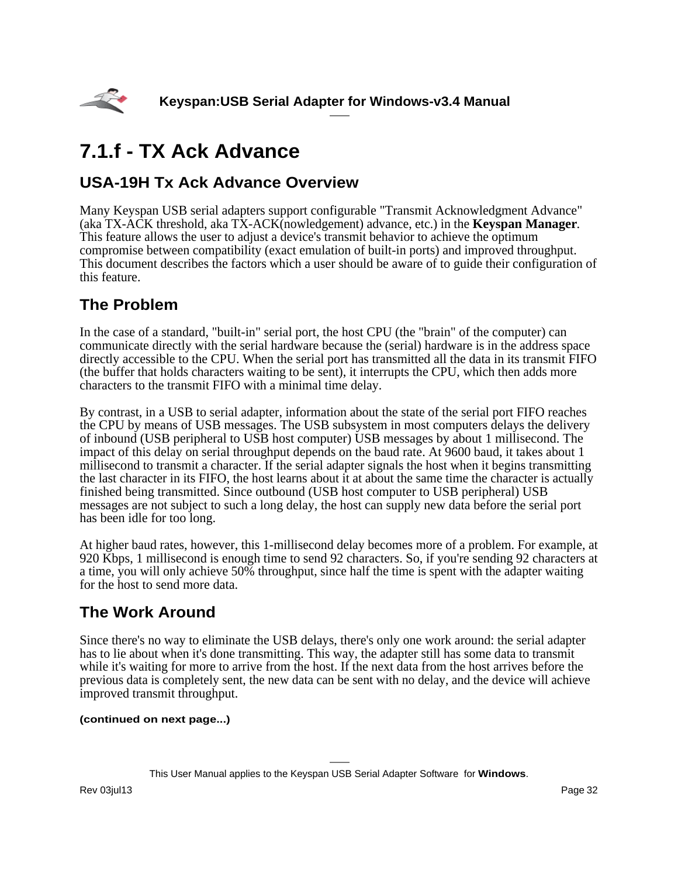<span id="page-31-0"></span>

# **7.1.f - TX Ack Advance**

## **USA-19H Tx Ack Advance Overview**

Many Keyspan USB serial adapters support configurable "Transmit Acknowledgment Advance" (aka TX-ACK threshold, aka TX-ACK(nowledgement) advance, etc.) in the **Keyspan Manager**. This feature allows the user to adjust a device's transmit behavior to achieve the optimum compromise between compatibility (exact emulation of built-in ports) and improved throughput. This document describes the factors which a user should be aware of to guide their configuration of this feature.

## **The Problem**

In the case of a standard, "built-in" serial port, the host CPU (the "brain" of the computer) can communicate directly with the serial hardware because the (serial) hardware is in the address space directly accessible to the CPU. When the serial port has transmitted all the data in its transmit FIFO (the buffer that holds characters waiting to be sent), it interrupts the CPU, which then adds more characters to the transmit FIFO with a minimal time delay.

By contrast, in a USB to serial adapter, information about the state of the serial port FIFO reaches the CPU by means of USB messages. The USB subsystem in most computers delays the delivery of inbound (USB peripheral to USB host computer) USB messages by about 1 millisecond. The impact of this delay on serial throughput depends on the baud rate. At 9600 baud, it takes about 1 millisecond to transmit a character. If the serial adapter signals the host when it begins transmitting the last character in its FIFO, the host learns about it at about the same time the character is actually finished being transmitted. Since outbound (USB host computer to USB peripheral) USB messages are not subject to such a long delay, the host can supply new data before the serial port has been idle for too long.

At higher baud rates, however, this 1-millisecond delay becomes more of a problem. For example, at 920 Kbps, 1 millisecond is enough time to send 92 characters. So, if you're sending 92 characters at a time, you will only achieve 50% throughput, since half the time is spent with the adapter waiting for the host to send more data.

## **The Work Around**

Since there's no way to eliminate the USB delays, there's only one work around: the serial adapter has to lie about when it's done transmitting. This way, the adapter still has some data to transmit while it's waiting for more to arrive from the host. If the next data from the host arrives before the previous data is completely sent, the new data can be sent with no delay, and the device will achieve improved transmit throughput.

### **(continued on next page...)**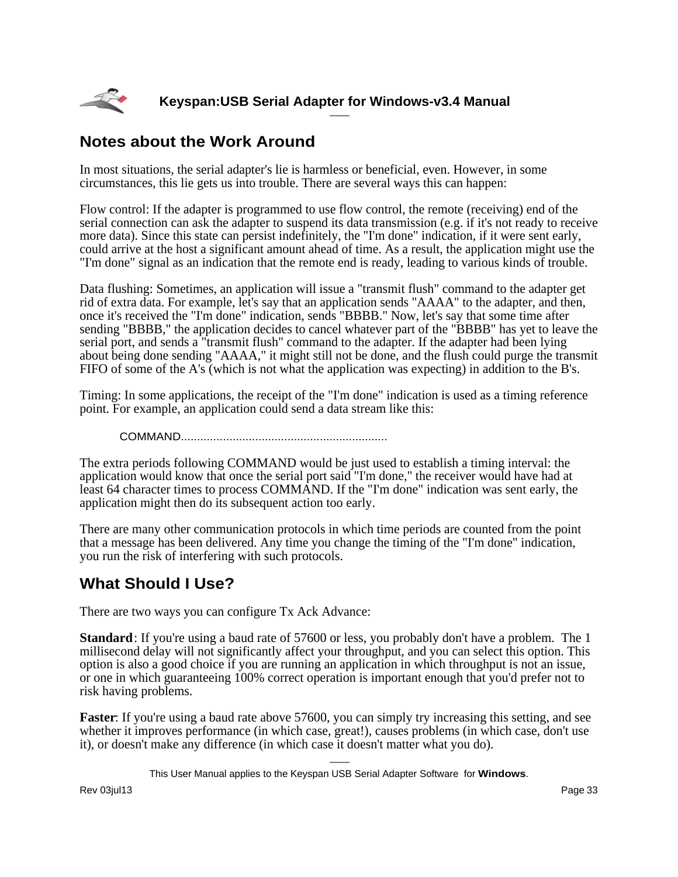

## **Notes about the Work Around**

In most situations, the serial adapter's lie is harmless or beneficial, even. However, in some circumstances, this lie gets us into trouble. There are several ways this can happen:

Flow control: If the adapter is programmed to use flow control, the remote (receiving) end of the serial connection can ask the adapter to suspend its data transmission (e.g. if it's not ready to receive more data). Since this state can persist indefinitely, the "I'm done" indication, if it were sent early, could arrive at the host a significant amount ahead of time. As a result, the application might use the "I'm done" signal as an indication that the remote end is ready, leading to various kinds of trouble.

Data flushing: Sometimes, an application will issue a "transmit flush" command to the adapter get rid of extra data. For example, let's say that an application sends "AAAA" to the adapter, and then, once it's received the "I'm done" indication, sends "BBBB." Now, let's say that some time after sending "BBBB," the application decides to cancel whatever part of the "BBBB" has yet to leave the serial port, and sends a "transmit flush" command to the adapter. If the adapter had been lying about being done sending "AAAA," it might still not be done, and the flush could purge the transmit FIFO of some of the A's (which is not what the application was expecting) in addition to the B's.

Timing: In some applications, the receipt of the "I'm done" indication is used as a timing reference point. For example, an application could send a data stream like this:

COMMAND................................................................

The extra periods following COMMAND would be just used to establish a timing interval: the application would know that once the serial port said "I'm done," the receiver would have had at least 64 character times to process COMMAND. If the "I'm done" indication was sent early, the application might then do its subsequent action too early.

There are many other communication protocols in which time periods are counted from the point that a message has been delivered. Any time you change the timing of the "I'm done" indication, you run the risk of interfering with such protocols.

## **What Should I Use?**

There are two ways you can configure Tx Ack Advance:

**Standard**: If you're using a baud rate of 57600 or less, you probably don't have a problem. The 1 millisecond delay will not significantly affect your throughput, and you can select this option. This option is also a good choice if you are running an application in which throughput is not an issue, or one in which guaranteeing 100% correct operation is important enough that you'd prefer not to risk having problems.

**Faster**: If you're using a baud rate above 57600, you can simply try increasing this setting, and see whether it improves performance (in which case, great!), causes problems (in which case, don't use it), or doesn't make any difference (in which case it doesn't matter what you do).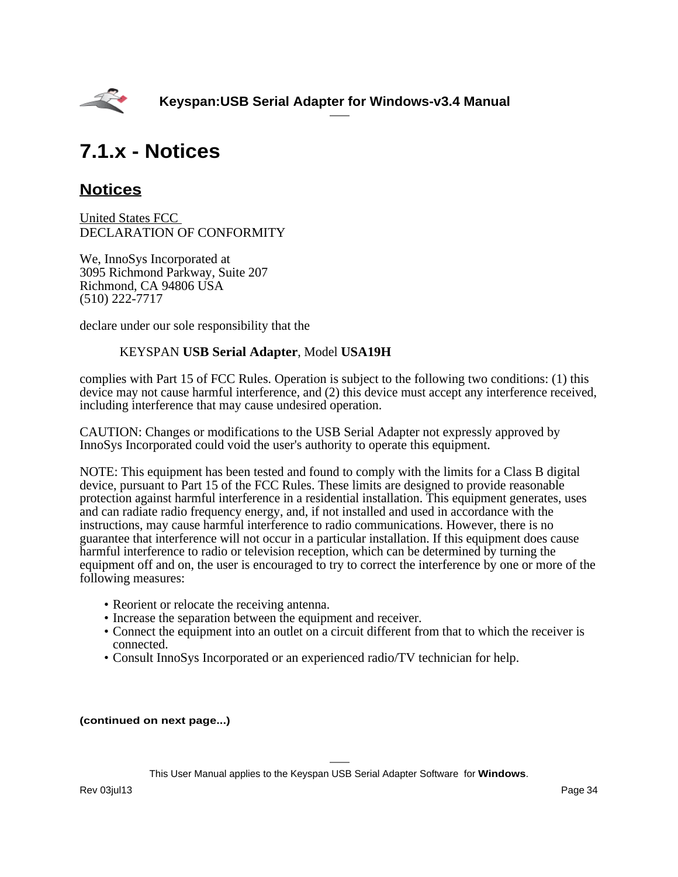<span id="page-33-0"></span>

# **7.1.x - Notices**

## **Notices**

United States FCC DECLARATION OF CONFORMITY

We, InnoSys Incorporated at 3095 Richmond Parkway, Suite 207 Richmond, CA 94806 USA (510) 222-7717

declare under our sole responsibility that the

### KEYSPAN **USB Serial Adapter**, Model **USA19H**

complies with Part 15 of FCC Rules. Operation is subject to the following two conditions: (1) this device may not cause harmful interference, and (2) this device must accept any interference received, including interference that may cause undesired operation.

CAUTION: Changes or modifications to the USB Serial Adapter not expressly approved by InnoSys Incorporated could void the user's authority to operate this equipment.

NOTE: This equipment has been tested and found to comply with the limits for a Class B digital device, pursuant to Part 15 of the FCC Rules. These limits are designed to provide reasonable protection against harmful interference in a residential installation. This equipment generates, uses and can radiate radio frequency energy, and, if not installed and used in accordance with the instructions, may cause harmful interference to radio communications. However, there is no guarantee that interference will not occur in a particular installation. If this equipment does cause harmful interference to radio or television reception, which can be determined by turning the equipment off and on, the user is encouraged to try to correct the interference by one or more of the following measures:

- Reorient or relocate the receiving antenna.
- Increase the separation between the equipment and receiver.
- Connect the equipment into an outlet on a circuit different from that to which the receiver is connected.
- Consult InnoSys Incorporated or an experienced radio/TV technician for help.

#### **(continued on next page...)**

This User Manual applies to the Keyspan USB Serial Adapter Software for **Windows**.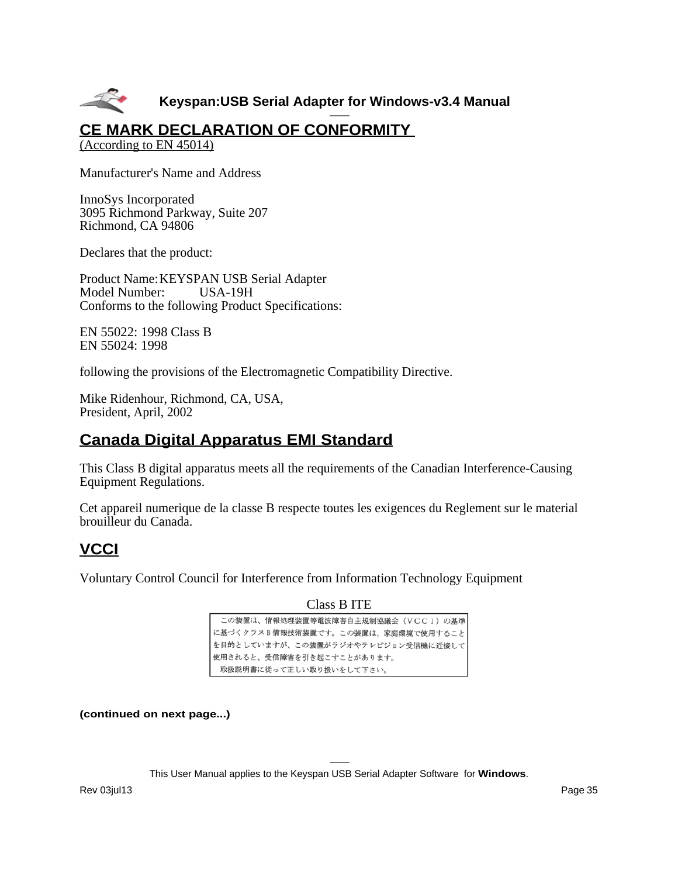

## **CE MARK DECLARATION OF CONFORMITY**

(According to EN 45014)

Manufacturer's Name and Address

InnoSys Incorporated 3095 Richmond Parkway, Suite 207 Richmond, CA 94806

Declares that the product:

Product Name:KEYSPAN USB Serial Adapter Model Number: USA-19H Conforms to the following Product Specifications:

EN 55022: 1998 Class B EN 55024: 1998

following the provisions of the Electromagnetic Compatibility Directive.

Mike Ridenhour, Richmond, CA, USA, President, April, 2002

## **Canada Digital Apparatus EMI Standard**

This Class B digital apparatus meets all the requirements of the Canadian Interference-Causing Equipment Regulations.

Cet appareil numerique de la classe B respecte toutes les exigences du Reglement sur le material brouilleur du Canada.

## **VCCI**

Voluntary Control Council for Interference from Information Technology Equipment

Class B ITE

| この装置は、情報処理装置等電波障害自主規制協議会(VCCI)の基準  |
|------------------------------------|
| に基づくクラスB情報技術装置です。この装置は、家庭環境で使用すること |
| を目的としていますが、この装置がラジオやテレビジョン受信機に近接して |
| 使用されると、受信障害を引き起こすことがあります。          |
| 取扱説明書に従って正しい取り扱いをして下さい。            |

**(continued on next page...)**

This User Manual applies to the Keyspan USB Serial Adapter Software for **Windows**.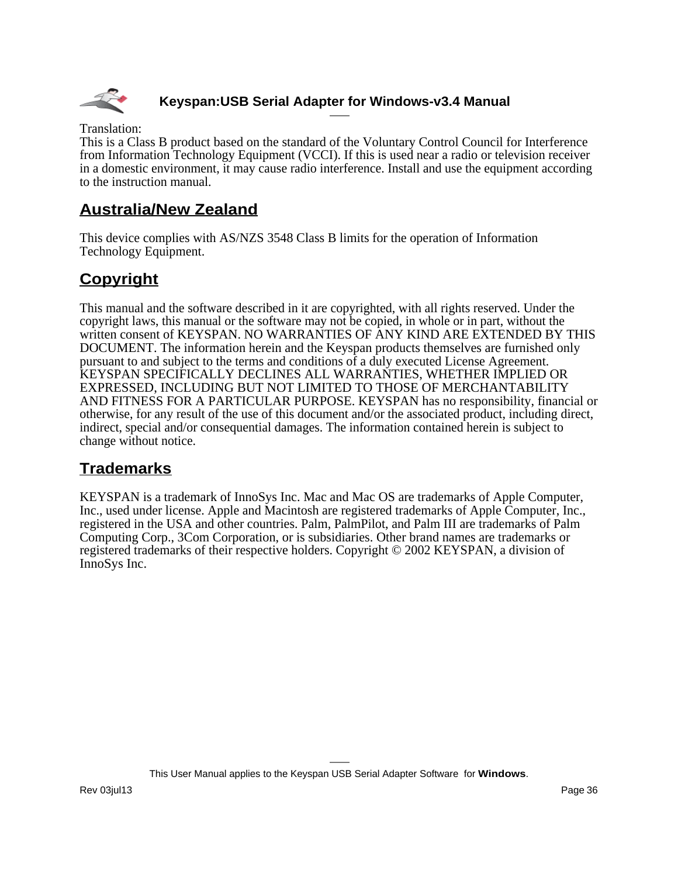

Translation:

This is a Class B product based on the standard of the Voluntary Control Council for Interference from Information Technology Equipment (VCCI). If this is used near a radio or television receiver in a domestic environment, it may cause radio interference. Install and use the equipment according to the instruction manual.

## **Australia/New Zealand**

This device complies with AS/NZS 3548 Class B limits for the operation of Information Technology Equipment.

## **Copyright**

This manual and the software described in it are copyrighted, with all rights reserved. Under the copyright laws, this manual or the software may not be copied, in whole or in part, without the written consent of KEYSPAN. NO WARRANTIES OF ANY KIND ARE EXTENDED BY THIS DOCUMENT. The information herein and the Keyspan products themselves are furnished only pursuant to and subject to the terms and conditions of a duly executed License Agreement. KEYSPAN SPECIFICALLY DECLINES ALL WARRANTIES, WHETHER IMPLIED OR EXPRESSED, INCLUDING BUT NOT LIMITED TO THOSE OF MERCHANTABILITY AND FITNESS FOR A PARTICULAR PURPOSE. KEYSPAN has no responsibility, financial or otherwise, for any result of the use of this document and/or the associated product, including direct, indirect, special and/or consequential damages. The information contained herein is subject to change without notice.

## **Trademarks**

KEYSPAN is a trademark of InnoSys Inc. Mac and Mac OS are trademarks of Apple Computer, Inc., used under license. Apple and Macintosh are registered trademarks of Apple Computer, Inc., registered in the USA and other countries. Palm, PalmPilot, and Palm III are trademarks of Palm Computing Corp., 3Com Corporation, or is subsidiaries. Other brand names are trademarks or registered trademarks of their respective holders. Copyright © 2002 KEYSPAN, a division of InnoSys Inc.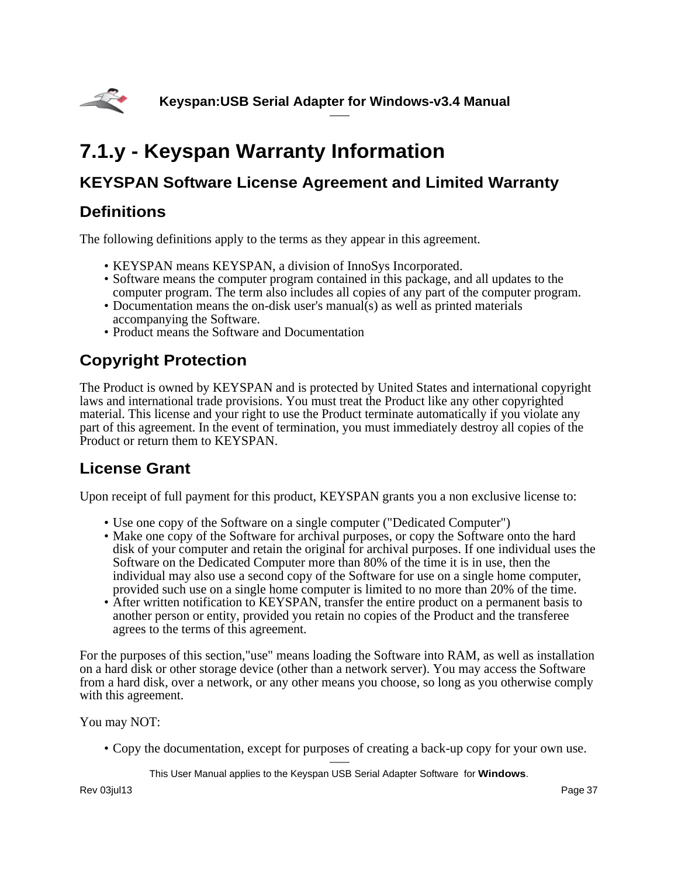<span id="page-36-0"></span>

# **7.1.y - Keyspan Warranty Information**

## **KEYSPAN Software License Agreement and Limited Warranty**

## **Definitions**

The following definitions apply to the terms as they appear in this agreement.

- KEYSPAN means KEYSPAN, a division of InnoSys Incorporated.
- Software means the computer program contained in this package, and all updates to the computer program. The term also includes all copies of any part of the computer program.
- Documentation means the on-disk user's manual(s) as well as printed materials accompanying the Software.
- Product means the Software and Documentation

# **Copyright Protection**

The Product is owned by KEYSPAN and is protected by United States and international copyright laws and international trade provisions. You must treat the Product like any other copyrighted material. This license and your right to use the Product terminate automatically if you violate any part of this agreement. In the event of termination, you must immediately destroy all copies of the Product or return them to KEYSPAN.

## **License Grant**

Upon receipt of full payment for this product, KEYSPAN grants you a non exclusive license to:

- Use one copy of the Software on a single computer ("Dedicated Computer")
- Make one copy of the Software for archival purposes, or copy the Software onto the hard disk of your computer and retain the original for archival purposes. If one individual uses the Software on the Dedicated Computer more than 80% of the time it is in use, then the individual may also use a second copy of the Software for use on a single home computer, provided such use on a single home computer is limited to no more than 20% of the time.
- After written notification to KEYSPAN, transfer the entire product on a permanent basis to another person or entity, provided you retain no copies of the Product and the transferee agrees to the terms of this agreement.

For the purposes of this section,"use" means loading the Software into RAM, as well as installation on a hard disk or other storage device (other than a network server). You may access the Software from a hard disk, over a network, or any other means you choose, so long as you otherwise comply with this agreement.

You may NOT:

• Copy the documentation, except for purposes of creating a back-up copy for your own use.

This User Manual applies to the Keyspan USB Serial Adapter Software for **Windows**.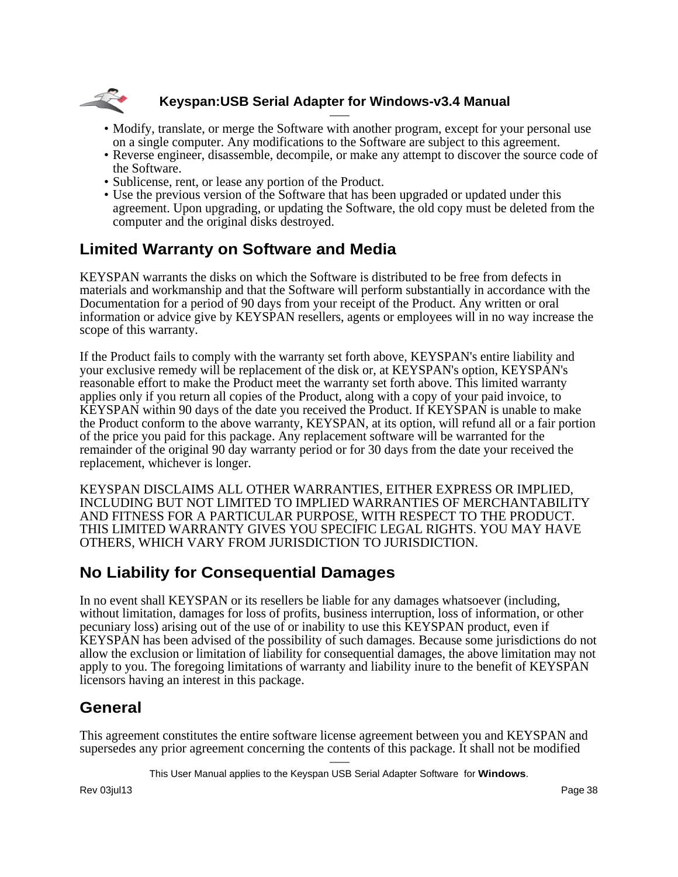

- Modify, translate, or merge the Software with another program, except for your personal use on a single computer. Any modifications to the Software are subject to this agreement.
- Reverse engineer, disassemble, decompile, or make any attempt to discover the source code of the Software.
- Sublicense, rent, or lease any portion of the Product.
- Use the previous version of the Software that has been upgraded or updated under this agreement. Upon upgrading, or updating the Software, the old copy must be deleted from the computer and the original disks destroyed.

## **Limited Warranty on Software and Media**

KEYSPAN warrants the disks on which the Software is distributed to be free from defects in materials and workmanship and that the Software will perform substantially in accordance with the Documentation for a period of 90 days from your receipt of the Product. Any written or oral information or advice give by KEYSPAN resellers, agents or employees will in no way increase the scope of this warranty.

If the Product fails to comply with the warranty set forth above, KEYSPAN's entire liability and your exclusive remedy will be replacement of the disk or, at KEYSPAN's option, KEYSPAN's reasonable effort to make the Product meet the warranty set forth above. This limited warranty applies only if you return all copies of the Product, along with a copy of your paid invoice, to KEYSPAN within 90 days of the date you received the Product. If KEYSPAN is unable to make the Product conform to the above warranty, KEYSPAN, at its option, will refund all or a fair portion of the price you paid for this package. Any replacement software will be warranted for the remainder of the original 90 day warranty period or for 30 days from the date your received the replacement, whichever is longer.

KEYSPAN DISCLAIMS ALL OTHER WARRANTIES, EITHER EXPRESS OR IMPLIED, INCLUDING BUT NOT LIMITED TO IMPLIED WARRANTIES OF MERCHANTABILITY AND FITNESS FOR A PARTICULAR PURPOSE, WITH RESPECT TO THE PRODUCT. THIS LIMITED WARRANTY GIVES YOU SPECIFIC LEGAL RIGHTS. YOU MAY HAVE OTHERS, WHICH VARY FROM JURISDICTION TO JURISDICTION.

## **No Liability for Consequential Damages**

In no event shall KEYSPAN or its resellers be liable for any damages whatsoever (including, without limitation, damages for loss of profits, business interruption, loss of information, or other pecuniary loss) arising out of the use of or inability to use this KEYSPAN product, even if KEYSPAN has been advised of the possibility of such damages. Because some jurisdictions do not allow the exclusion or limitation of liability for consequential damages, the above limitation may not apply to you. The foregoing limitations of warranty and liability inure to the benefit of KEYSPAN licensors having an interest in this package.

## **General**

This agreement constitutes the entire software license agreement between you and KEYSPAN and supersedes any prior agreement concerning the contents of this package. It shall not be modified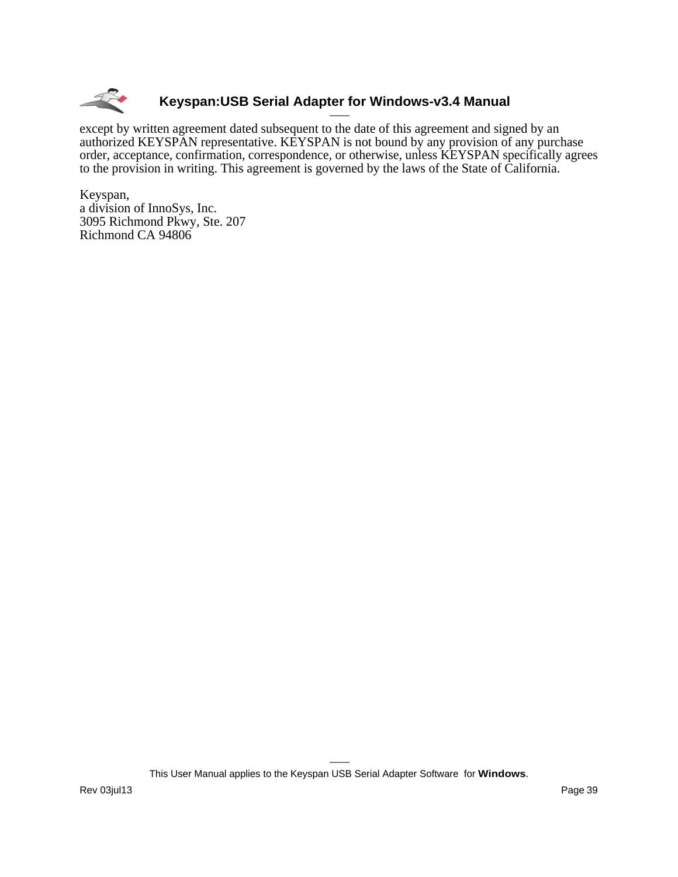

except by written agreement dated subsequent to the date of this agreement and signed by an authorized KEYSPAN representative. KEYSPAN is not bound by any provision of any purchase order, acceptance, confirmation, correspondence, or otherwise, unless KEYSPAN specifically agrees to the provision in writing. This agreement is governed by the laws of the State of California.

Keyspan, a division of InnoSys, Inc. 3095 Richmond Pkwy, Ste. 207 Richmond CA 94806